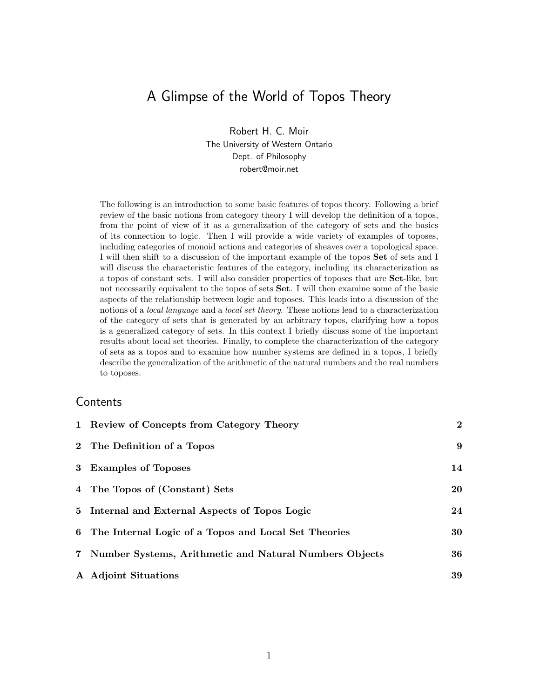# A Glimpse of the World of Topos Theory

Robert H. C. Moir The University of Western Ontario Dept. of Philosophy robert@moir.net

The following is an introduction to some basic features of topos theory. Following a brief review of the basic notions from category theory I will develop the definition of a topos, from the point of view of it as a generalization of the category of sets and the basics of its connection to logic. Then I will provide a wide variety of examples of toposes, including categories of monoid actions and categories of sheaves over a topological space. I will then shift to a discussion of the important example of the topos Set of sets and I will discuss the characteristic features of the category, including its characterization as a topos of constant sets. I will also consider properties of toposes that are Set-like, but not necessarily equivalent to the topos of sets Set. I will then examine some of the basic aspects of the relationship between logic and toposes. This leads into a discussion of the notions of a *local language* and a *local set theory*. These notions lead to a characterization of the category of sets that is generated by an arbitrary topos, clarifying how a topos is a generalized category of sets. In this context I briefly discuss some of the important results about local set theories. Finally, to complete the characterization of the category of sets as a topos and to examine how number systems are defined in a topos, I briefly describe the generalization of the arithmetic of the natural numbers and the real numbers to toposes.

### **Contents**

| 1 Review of Concepts from Category Theory                | $\overline{2}$ |
|----------------------------------------------------------|----------------|
| 2 The Definition of a Topos                              | 9              |
| 3 Examples of Toposes                                    | 14             |
| 4 The Topos of (Constant) Sets                           | 20             |
| 5 Internal and External Aspects of Topos Logic           | 24             |
| 6 The Internal Logic of a Topos and Local Set Theories   | 30             |
| 7 Number Systems, Arithmetic and Natural Numbers Objects | 36             |
| A Adjoint Situations                                     | 39             |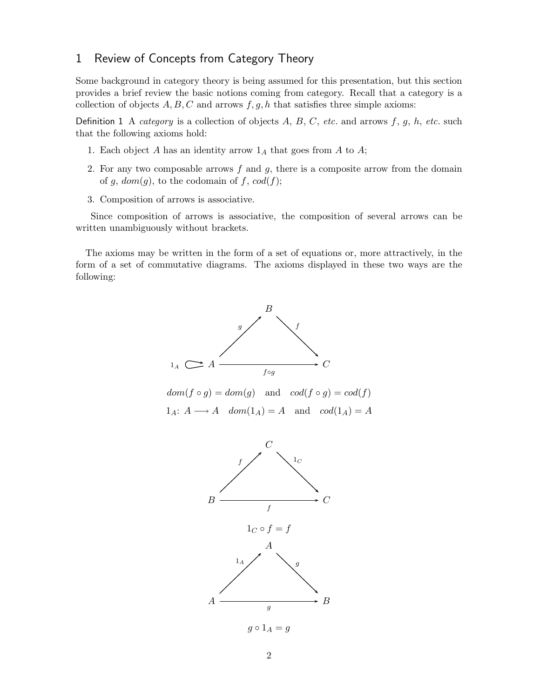## 1 Review of Concepts from Category Theory

Some background in category theory is being assumed for this presentation, but this section provides a brief review the basic notions coming from category. Recall that a category is a collection of objects  $A, B, C$  and arrows  $f, g, h$  that satisfies three simple axioms:

Definition 1 A *category* is a collection of objects  $A, B, C, etc.$  and arrows  $f, g, h, etc.$  such that the following axioms hold:

- 1. Each object A has an identity arrow  $1_A$  that goes from A to A;
- 2. For any two composable arrows  $f$  and  $g$ , there is a composite arrow from the domain of g,  $dom(g)$ , to the codomain of f,  $cod(f)$ ;
- 3. Composition of arrows is associative.

Since composition of arrows is associative, the composition of several arrows can be written unambiguously without brackets.

The axioms may be written in the form of a set of equations or, more attractively, in the form of a set of commutative diagrams. The axioms displayed in these two ways are the following:

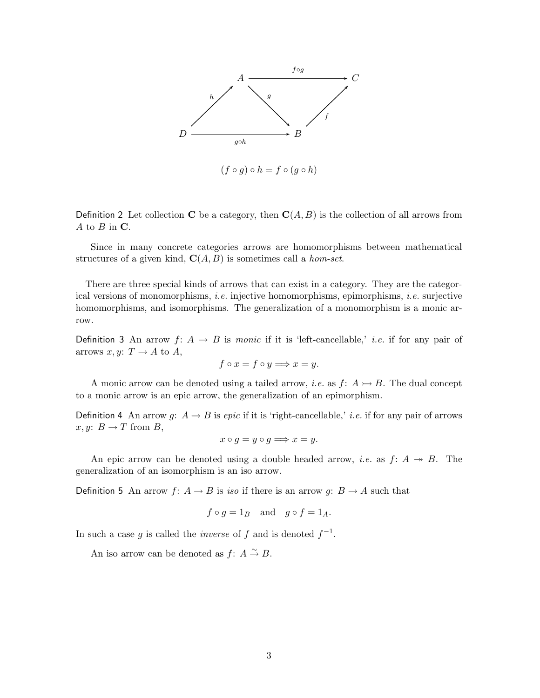

Definition 2 Let collection C be a category, then  $\mathbf{C}(A, B)$  is the collection of all arrows from  $A$  to  $B$  in  $C$ .

Since in many concrete categories arrows are homomorphisms between mathematical structures of a given kind,  $C(A, B)$  is sometimes call a *hom-set*.

There are three special kinds of arrows that can exist in a category. They are the categorical versions of monomorphisms, *i.e.* injective homomorphisms, epimorphisms, *i.e.* surjective homomorphisms, and isomorphisms. The generalization of a monomorphism is a monic arrow.

Definition 3 An arrow  $f: A \rightarrow B$  is monic if it is 'left-cancellable,' *i.e.* if for any pair of arrows  $x, y: T \rightarrow A$  to A,

$$
f \circ x = f \circ y \Longrightarrow x = y.
$$

A monic arrow can be denoted using a tailed arrow, *i.e.* as  $f: A \rightarrow B$ . The dual concept to a monic arrow is an epic arrow, the generalization of an epimorphism.

Definition 4 An arrow g:  $A \rightarrow B$  is epic if it is 'right-cancellable,' *i.e.* if for any pair of arrows  $x, y: B \to T$  from B,

$$
x \circ g = y \circ g \Longrightarrow x = y.
$$

An epic arrow can be denoted using a double headed arrow, *i.e.* as  $f: A \rightarrow B$ . The generalization of an isomorphism is an iso arrow.

Definition 5 An arrow  $f: A \rightarrow B$  is iso if there is an arrow  $g: B \rightarrow A$  such that

$$
f \circ g = 1_B
$$
 and  $g \circ f = 1_A$ .

In such a case g is called the *inverse* of f and is denoted  $f^{-1}$ .

An iso arrow can be denoted as  $f: A \overset{\sim}{\rightarrow} B$ .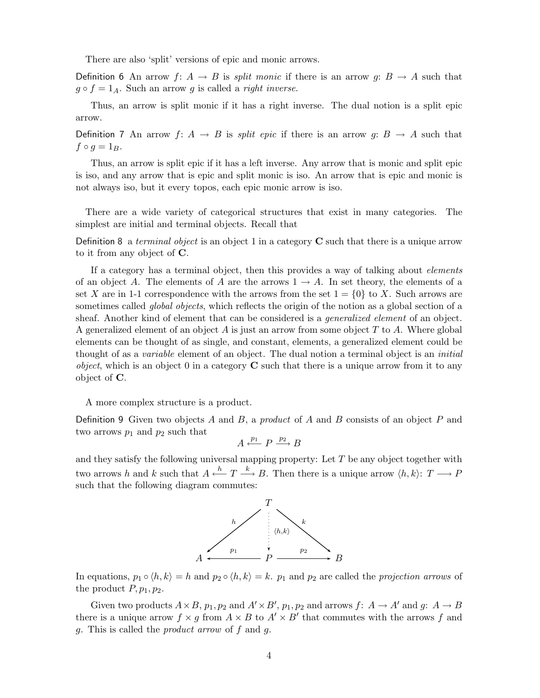There are also 'split' versions of epic and monic arrows.

Definition 6 An arrow f:  $A \rightarrow B$  is *split monic* if there is an arrow g:  $B \rightarrow A$  such that  $g \circ f = 1_A$ . Such an arrow g is called a *right inverse*.

Thus, an arrow is split monic if it has a right inverse. The dual notion is a split epic arrow.

Definition 7 An arrow  $f: A \to B$  is *split epic* if there is an arrow  $g: B \to A$  such that  $f \circ g = 1_B.$ 

Thus, an arrow is split epic if it has a left inverse. Any arrow that is monic and split epic is iso, and any arrow that is epic and split monic is iso. An arrow that is epic and monic is not always iso, but it every topos, each epic monic arrow is iso.

There are a wide variety of categorical structures that exist in many categories. The simplest are initial and terminal objects. Recall that

Definition 8 a terminal object is an object 1 in a category  $C$  such that there is a unique arrow to it from any object of C.

If a category has a terminal object, then this provides a way of talking about *elements* of an object A. The elements of A are the arrows  $1 \rightarrow A$ . In set theory, the elements of a set X are in 1-1 correspondence with the arrows from the set  $1 = \{0\}$  to X. Such arrows are sometimes called *global objects*, which reflects the origin of the notion as a global section of a sheaf. Another kind of element that can be considered is a *generalized element* of an object. A generalized element of an object  $A$  is just an arrow from some object  $T$  to  $A$ . Where global elements can be thought of as single, and constant, elements, a generalized element could be thought of as a *variable* element of an object. The dual notion a terminal object is an *initial object*, which is an object 0 in a category  $C$  such that there is a unique arrow from it to any object of C.

A more complex structure is a product.

Definition 9 Given two objects A and B, a product of A and B consists of an object P and two arrows  $p_1$  and  $p_2$  such that

$$
A \xleftarrow{p_1} P \xrightarrow{p_2} B
$$

and they satisfy the following universal mapping property: Let  $T$  be any object together with two arrows h and k such that  $A \stackrel{h}{\longleftarrow} T \stackrel{k}{\longrightarrow} B$ . Then there is a unique arrow  $\langle h, k \rangle: T \longrightarrow P$ such that the following diagram commutes:



In equations,  $p_1 \circ \langle h, k \rangle = h$  and  $p_2 \circ \langle h, k \rangle = k$ .  $p_1$  and  $p_2$  are called the projection arrows of the product  $P, p_1, p_2$ .

Given two products  $A \times B$ ,  $p_1, p_2$  and  $A' \times B'$ ,  $p_1, p_2$  and arrows  $f: A \to A'$  and  $g: A \to B$ there is a unique arrow  $f \times g$  from  $A \times B$  to  $A' \times B'$  that commutes with the arrows f and g. This is called the product arrow of f and g.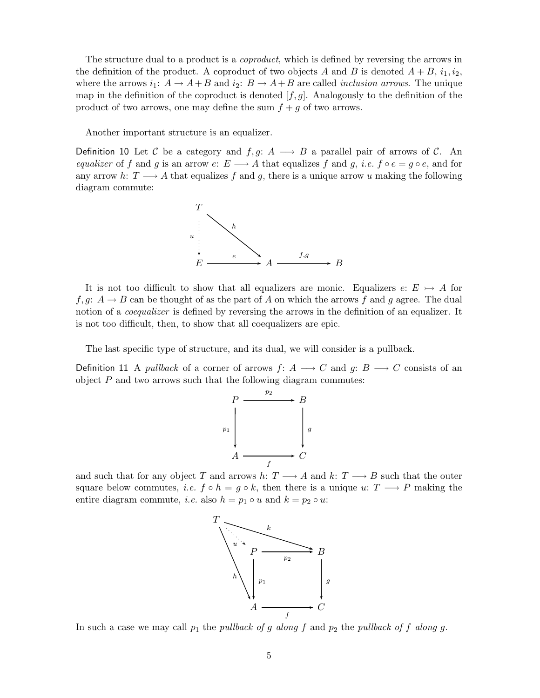The structure dual to a product is a *coproduct*, which is defined by reversing the arrows in the definition of the product. A coproduct of two objects A and B is denoted  $A + B$ ,  $i_1, i_2$ , where the arrows  $i_1: A \to A + B$  and  $i_2: B \to A + B$  are called *inclusion arrows*. The unique map in the definition of the coproduct is denoted  $[f,g]$ . Analogously to the definition of the product of two arrows, one may define the sum  $f + g$  of two arrows.

Another important structure is an equalizer.

Definition 10 Let C be a category and  $f,g: A \longrightarrow B$  a parallel pair of arrows of C. An equalizer of f and g is an arrow e:  $E \longrightarrow A$  that equalizes f and g, *i.e.* f  $\circ e = g \circ e$ , and for any arrow h:  $T \longrightarrow A$  that equalizes f and g, there is a unique arrow u making the following diagram commute:



It is not too difficult to show that all equalizers are monic. Equalizers  $e: E \rightarrow A$  for f, g:  $A \rightarrow B$  can be thought of as the part of A on which the arrows f and g agree. The dual notion of a *coequalizer* is defined by reversing the arrows in the definition of an equalizer. It is not too difficult, then, to show that all coequalizers are epic.

The last specific type of structure, and its dual, we will consider is a pullback.

Definition 11 A pullback of a corner of arrows  $f: A \longrightarrow C$  and  $g: B \longrightarrow C$  consists of an object  $P$  and two arrows such that the following diagram commutes:



and such that for any object T and arrows h:  $T \longrightarrow A$  and k:  $T \longrightarrow B$  such that the outer square below commutes, *i.e.*  $f \circ h = g \circ k$ , then there is a unique  $u: T \longrightarrow P$  making the entire diagram commute, *i.e.* also  $h = p_1 \circ u$  and  $k = p_2 \circ u$ :



In such a case we may call  $p_1$  the pullback of g along f and  $p_2$  the pullback of f along g.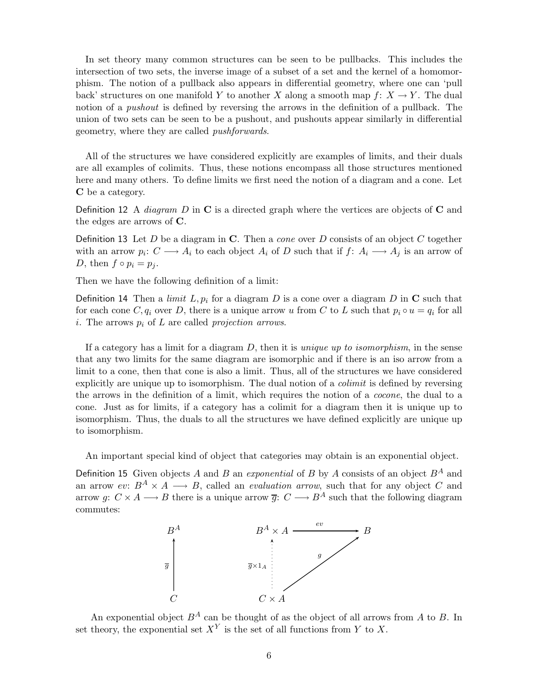In set theory many common structures can be seen to be pullbacks. This includes the intersection of two sets, the inverse image of a subset of a set and the kernel of a homomorphism. The notion of a pullback also appears in differential geometry, where one can 'pull back' structures on one manifold Y to another X along a smooth map  $f: X \to Y$ . The dual notion of a *pushout* is defined by reversing the arrows in the definition of a pullback. The union of two sets can be seen to be a pushout, and pushouts appear similarly in differential geometry, where they are called pushforwards.

All of the structures we have considered explicitly are examples of limits, and their duals are all examples of colimits. Thus, these notions encompass all those structures mentioned here and many others. To define limits we first need the notion of a diagram and a cone. Let C be a category.

Definition 12 A *diagram* D in C is a directed graph where the vertices are objects of C and the edges are arrows of C.

Definition 13 Let D be a diagram in  $\bf{C}$ . Then a *cone* over D consists of an object C together with an arrow  $p_i: C \longrightarrow A_i$  to each object  $A_i$  of D such that if  $f: A_i \longrightarrow A_j$  is an arrow of D, then  $f \circ p_i = p_j$ .

Then we have the following definition of a limit:

Definition 14 Then a *limit*  $L, p_i$  for a diagram  $D$  is a cone over a diagram  $D$  in  $C$  such that for each cone C,  $q_i$  over D, there is a unique arrow u from C to L such that  $p_i \circ u = q_i$  for all i. The arrows  $p_i$  of  $L$  are called *projection arrows*.

If a category has a limit for a diagram  $D$ , then it is *unique up to isomorphism*, in the sense that any two limits for the same diagram are isomorphic and if there is an iso arrow from a limit to a cone, then that cone is also a limit. Thus, all of the structures we have considered explicitly are unique up to isomorphism. The dual notion of a *colimit* is defined by reversing the arrows in the definition of a limit, which requires the notion of a cocone, the dual to a cone. Just as for limits, if a category has a colimit for a diagram then it is unique up to isomorphism. Thus, the duals to all the structures we have defined explicitly are unique up to isomorphism.

An important special kind of object that categories may obtain is an exponential object.

Definition 15 Given objects A and B an exponential of B by A consists of an object  $B^A$  and an arrow ev:  $B^A \times A \longrightarrow B$ , called an *evaluation arrow*, such that for any object C and arrow g:  $C \times A \longrightarrow B$  there is a unique arrow  $\overline{g}$ :  $C \longrightarrow B^A$  such that the following diagram commutes:



An exponential object  $B^A$  can be thought of as the object of all arrows from A to B. In set theory, the exponential set  $X<sup>Y</sup>$  is the set of all functions from Y to X.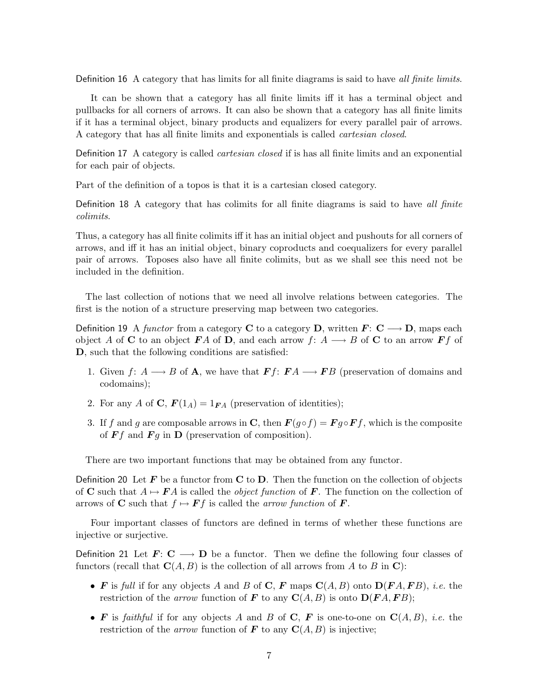Definition 16 A category that has limits for all finite diagrams is said to have all finite limits.

It can be shown that a category has all finite limits iff it has a terminal object and pullbacks for all corners of arrows. It can also be shown that a category has all finite limits if it has a terminal object, binary products and equalizers for every parallel pair of arrows. A category that has all finite limits and exponentials is called cartesian closed.

Definition 17 A category is called cartesian closed if is has all finite limits and an exponential for each pair of objects.

Part of the definition of a topos is that it is a cartesian closed category.

Definition 18 A category that has colimits for all finite diagrams is said to have all finite colimits.

Thus, a category has all finite colimits iff it has an initial object and pushouts for all corners of arrows, and iff it has an initial object, binary coproducts and coequalizers for every parallel pair of arrows. Toposes also have all finite colimits, but as we shall see this need not be included in the definition.

The last collection of notions that we need all involve relations between categories. The first is the notion of a structure preserving map between two categories.

Definition 19 A functor from a category C to a category D, written  $\mathbf{F: C \longrightarrow D}$ , maps each object A of C to an object FA of D, and each arrow f:  $A \longrightarrow B$  of C to an arrow Ff of D, such that the following conditions are satisfied:

- 1. Given f:  $A \longrightarrow B$  of **A**, we have that  $\mathbf{F}f: \mathbf{F}A \longrightarrow \mathbf{F}B$  (preservation of domains and codomains);
- 2. For any A of C,  $F(1_A) = 1_{FA}$  (preservation of identities);
- 3. If f and g are composable arrows in C, then  $\mathbf{F}(g \circ f) = \mathbf{F} g \circ \mathbf{F} f$ , which is the composite of  $\boldsymbol{F}f$  and  $\boldsymbol{F}g$  in  $\boldsymbol{D}$  (preservation of composition).

There are two important functions that may be obtained from any functor.

Definition 20 Let  $\mathbf{F}$  be a functor from  $\mathbf{C}$  to  $\mathbf{D}$ . Then the function on the collection of objects of C such that  $A \mapsto FA$  is called the *object function* of F. The function on the collection of arrows of **C** such that  $f \mapsto \mathbf{F} f$  is called the arrow function of **F**.

Four important classes of functors are defined in terms of whether these functions are injective or surjective.

Definition 21 Let  $\mathbf{F}:\mathbf{C}\longrightarrow\mathbf{D}$  be a functor. Then we define the following four classes of functors (recall that  $\mathbf{C}(A,B)$  is the collection of all arrows from A to B in C):

- F is full if for any objects A and B of C, F maps  $C(A, B)$  onto  $D(FA, FB)$ , i.e. the restriction of the arrow function of F to any  $\mathbf{C}(A, B)$  is onto  $\mathbf{D}(\mathbf{F} A, \mathbf{F} B)$ ;
- F is faithful if for any objects A and B of C, F is one-to-one on  $C(A, B)$ , *i.e.* the restriction of the *arrow* function of **F** to any  $C(A, B)$  is injective;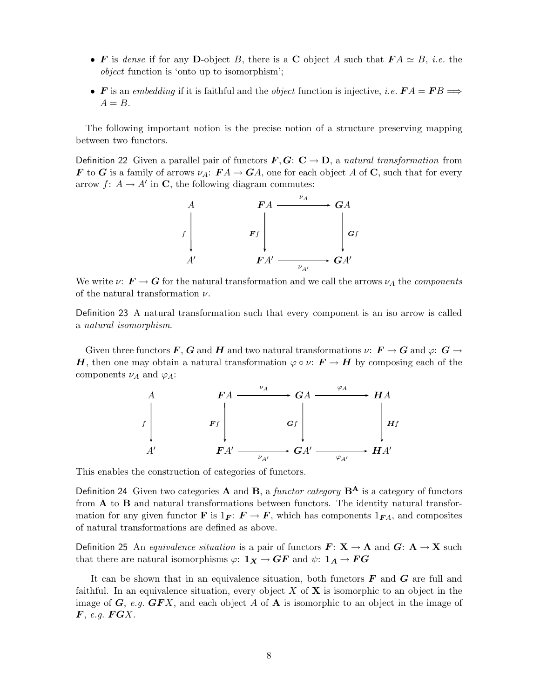- F is dense if for any D-object B, there is a C object A such that  $FA \simeq B$ , *i.e.* the object function is 'onto up to isomorphism';
- F is an embedding if it is faithful and the object function is injective, i.e.  $FA = FB \Longrightarrow$  $A = B$ .

The following important notion is the precise notion of a structure preserving mapping between two functors.

Definition 22 Given a parallel pair of functors  $\mathbf{F}, \mathbf{G}: \mathbf{C} \to \mathbf{D}$ , a natural transformation from **F** to **G** is a family of arrows  $\nu_A: \mathbf{F}A \to \mathbf{G}A$ , one for each object A of **C**, such that for every arrow  $f: A \to A'$  in C, the following diagram commutes:



We write  $\nu: \mathbf{F} \to \mathbf{G}$  for the natural transformation and we call the arrows  $\nu_A$  the components of the natural transformation  $\nu$ .

Definition 23 A natural transformation such that every component is an iso arrow is called a natural isomorphism.

Given three functors F, G and H and two natural transformations  $\nu: F \to G$  and  $\varphi: G \to$ H, then one may obtain a natural transformation  $\varphi \circ \nu : \mathbf{F} \to \mathbf{H}$  by composing each of the components  $\nu_A$  and  $\varphi_A$ :

$$
\begin{array}{ccc}\nA & F A & \xrightarrow{\nu_A} & GA & \xrightarrow{\varphi_A} & H A \\
\downarrow f & & F f & & G f & \\
A' & & F A' & \xrightarrow{\nu_{A'}} & GA' & \xrightarrow{\varphi_{A'}} & H A'\n\end{array}
$$

This enables the construction of categories of functors.

Definition 24 Given two categories **A** and **B**, a functor category  $B^A$  is a category of functors from A to B and natural transformations between functors. The identity natural transformation for any given functor **F** is  $1_F$ :  $F \to F$ , which has components  $1_{FA}$ , and composites of natural transformations are defined as above.

Definition 25 An equivalence situation is a pair of functors  $\mathbf{F: X \rightarrow A}$  and  $\mathbf{G: A \rightarrow X}$  such that there are natural isomorphisms  $\varphi: \mathbf{1}_X \to \mathbf{G}\mathbf{F}$  and  $\psi: \mathbf{1}_A \to \mathbf{F}\mathbf{G}$ 

It can be shown that in an equivalence situation, both functors  $\bm{F}$  and  $\bm{G}$  are full and faithful. In an equivalence situation, every object X of  $X$  is isomorphic to an object in the image of  $G$ , e.g.  $GFX$ , and each object A of **A** is isomorphic to an object in the image of  $\boldsymbol{F}$ , e.g.  $\boldsymbol{F} \boldsymbol{G} \boldsymbol{X}$ .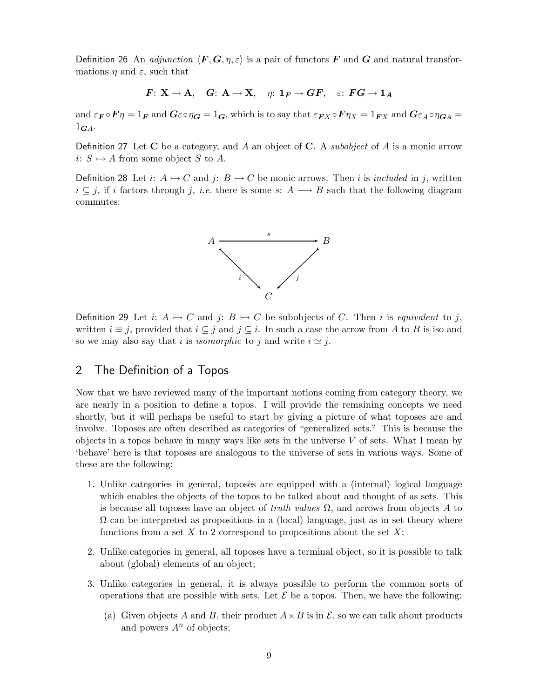Definition 26 An *adjunction*  $\langle \mathbf{F}, \mathbf{G}, \eta, \varepsilon \rangle$  is a pair of functors **F** and **G** and natural transformations  $\eta$  and  $\varepsilon$ , such that

$$
F: X \to A, \quad G: A \to X, \quad \eta: 1_F \to GF, \quad \varepsilon: FG \to 1_A
$$

and  $\varepsilon_F \circ F \eta = 1_F$  and  $G \varepsilon \circ \eta_G = 1_G$ , which is to say that  $\varepsilon_{FX} \circ F \eta_X = 1_{FX}$  and  $G \varepsilon_A \circ \eta_{GA} =$  $1_{GA}$ .

Definition 27 Let C be a category, and A an object of C. A *subobject* of A is a monic arrow i:  $S \rightarrowtail A$  from some object S to A.

Definition 28 Let i:  $A \rightarrow C$  and j:  $B \rightarrow C$  be monic arrows. Then i is included in j, written  $i \subseteq j$ , if i factors through j, i.e. there is some s:  $A \longrightarrow B$  such that the following diagram commutes:



Definition 29 Let i:  $A \rightarrow C$  and j:  $B \rightarrow C$  be subobjects of C. Then i is equivalent to j, written  $i \equiv j$ , provided that  $i \subseteq j$  and  $j \subseteq i$ . In such a case the arrow from A to B is iso and so we may also say that *i* is *isomorphic* to *j* and write  $i \approx j$ .

# 2 The Definition of a Topos

Now that we have reviewed many of the important notions coming from category theory, we are nearly in a position to define a topos. I will provide the remaining concepts we need shortly, but it will perhaps be useful to start by giving a picture of what toposes are and involve. Toposes are often described as categories of "generalized sets." This is because the objects in a topos behave in many ways like sets in the universe  $V$  of sets. What I mean by 'behave' here is that toposes are analogous to the universe of sets in various ways. Some of these are the following:

- 1. Unlike categories in general, toposes are equipped with a (internal) logical language which enables the objects of the topos to be talked about and thought of as sets. This is because all toposes have an object of truth values  $\Omega$ , and arrows from objects A to  $\Omega$  can be interpreted as propositions in a (local) language, just as in set theory where functions from a set X to 2 correspond to propositions about the set  $X$ ;
- 2. Unlike categories in general, all toposes have a terminal object, so it is possible to talk about (global) elements of an object;
- 3. Unlike categories in general, it is always possible to perform the common sorts of operations that are possible with sets. Let  $\mathcal E$  be a topos. Then, we have the following:
	- (a) Given objects A and B, their product  $A \times B$  is in  $\mathcal{E}$ , so we can talk about products and powers  $A^n$  of objects;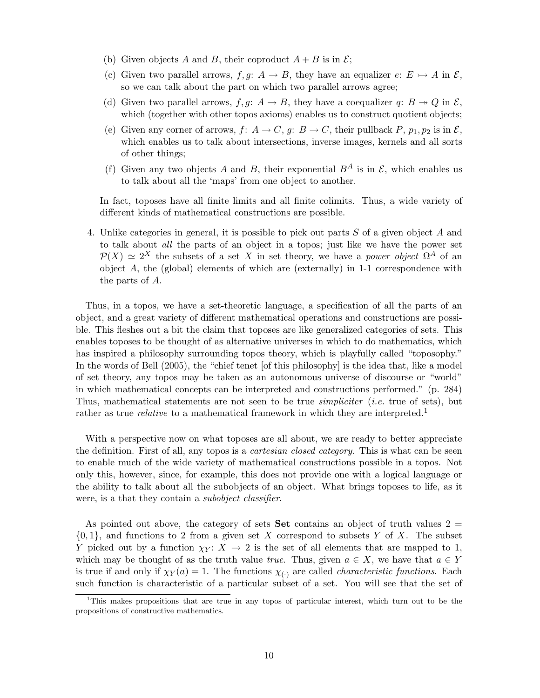- (b) Given objects A and B, their coproduct  $A + B$  is in  $\mathcal{E}$ ;
- (c) Given two parallel arrows,  $f, g: A \to B$ , they have an equalizer  $e: E \to A$  in  $\mathcal{E},$ so we can talk about the part on which two parallel arrows agree;
- (d) Given two parallel arrows,  $f, g: A \to B$ , they have a coequalizer  $q: B \to Q$  in  $\mathcal{E},$ which (together with other topos axioms) enables us to construct quotient objects;
- (e) Given any corner of arrows,  $f: A \to C$ ,  $g: B \to C$ , their pullback  $P$ ,  $p_1, p_2$  is in  $\mathcal{E}$ , which enables us to talk about intersections, inverse images, kernels and all sorts of other things;
- (f) Given any two objects A and B, their exponential  $B^A$  is in  $\mathcal{E}$ , which enables us to talk about all the 'maps' from one object to another.

In fact, toposes have all finite limits and all finite colimits. Thus, a wide variety of different kinds of mathematical constructions are possible.

4. Unlike categories in general, it is possible to pick out parts S of a given object A and to talk about all the parts of an object in a topos; just like we have the power set  $\mathcal{P}(X) \simeq 2^X$  the subsets of a set X in set theory, we have a power object  $\Omega^A$  of an object  $A$ , the (global) elements of which are (externally) in 1-1 correspondence with the parts of A.

Thus, in a topos, we have a set-theoretic language, a specification of all the parts of an object, and a great variety of different mathematical operations and constructions are possible. This fleshes out a bit the claim that toposes are like generalized categories of sets. This enables toposes to be thought of as alternative universes in which to do mathematics, which has inspired a philosophy surrounding topos theory, which is playfully called "toposophy." In the words of Bell (2005), the "chief tenet [of this philosophy] is the idea that, like a model of set theory, any topos may be taken as an autonomous universe of discourse or "world" in which mathematical concepts can be interpreted and constructions performed." (p. 284) Thus, mathematical statements are not seen to be true *simpliciter* (*i.e.* true of sets), but rather as true *relative* to a mathematical framework in which they are interpreted.<sup>1</sup>

With a perspective now on what toposes are all about, we are ready to better appreciate the definition. First of all, any topos is a *cartesian closed category*. This is what can be seen to enable much of the wide variety of mathematical constructions possible in a topos. Not only this, however, since, for example, this does not provide one with a logical language or the ability to talk about all the subobjects of an object. What brings toposes to life, as it were, is a that they contain a subobject classifier.

As pointed out above, the category of sets **Set** contains an object of truth values  $2 =$  $\{0,1\}$ , and functions to 2 from a given set X correspond to subsets Y of X. The subset Y picked out by a function  $\chi_Y: X \to 2$  is the set of all elements that are mapped to 1, which may be thought of as the truth value true. Thus, given  $a \in X$ , we have that  $a \in Y$ is true if and only if  $\chi_Y(a) = 1$ . The functions  $\chi_{(.)}$  are called *characteristic functions*. Each such function is characteristic of a particular subset of a set. You will see that the set of

<sup>1</sup>This makes propositions that are true in any topos of particular interest, which turn out to be the propositions of constructive mathematics.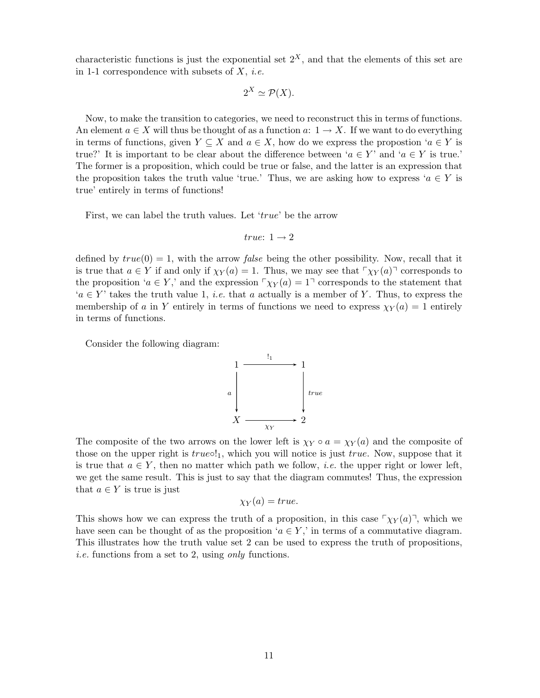characteristic functions is just the exponential set  $2<sup>X</sup>$ , and that the elements of this set are in 1-1 correspondence with subsets of  $X$ , *i.e.* 

$$
2^X \simeq \mathcal{P}(X).
$$

Now, to make the transition to categories, we need to reconstruct this in terms of functions. An element  $a \in X$  will thus be thought of as a function  $a: 1 \to X$ . If we want to do everything in terms of functions, given  $Y \subseteq X$  and  $a \in X$ , how do we express the propostion ' $a \in Y$  is true?' It is important to be clear about the difference between ' $a \in Y$ ' and ' $a \in Y$  is true.' The former is a proposition, which could be true or false, and the latter is an expression that the proposition takes the truth value 'true.' Thus, we are asking how to express ' $a \in Y$  is true' entirely in terms of functions!

First, we can label the truth values. Let 'true' be the arrow

$$
true\colon\thinspace 1\to 2
$$

defined by  $true(0) = 1$ , with the arrow *false* being the other possibility. Now, recall that it is true that  $a \in Y$  if and only if  $\chi_Y(a) = 1$ . Thus, we may see that  $\chi_Y(a)$  corresponds to the proposition ' $a \in Y$ ,' and the expression  $\gamma_Y(a) = 1$ <sup>-</sup> corresponds to the statement that  $a \in Y$  takes the truth value 1, *i.e.* that a actually is a member of Y. Thus, to express the membership of a in Y entirely in terms of functions we need to express  $\chi_Y(a) = 1$  entirely in terms of functions.

Consider the following diagram:



The composite of the two arrows on the lower left is  $\chi_Y \circ a = \chi_Y(a)$  and the composite of those on the upper right is  $true \circ !_1$ , which you will notice is just  $true$ . Now, suppose that it is true that  $a \in Y$ , then no matter which path we follow, *i.e.* the upper right or lower left, we get the same result. This is just to say that the diagram commutes! Thus, the expression that  $a \in Y$  is true is just

$$
\chi_Y(a)=true.
$$

This shows how we can express the truth of a proposition, in this case  $\lceil \chi_Y(a) \rceil$ , which we have seen can be thought of as the proposition ' $a \in Y$ ,' in terms of a commutative diagram. This illustrates how the truth value set 2 can be used to express the truth of propositions, i.e. functions from a set to 2, using only functions.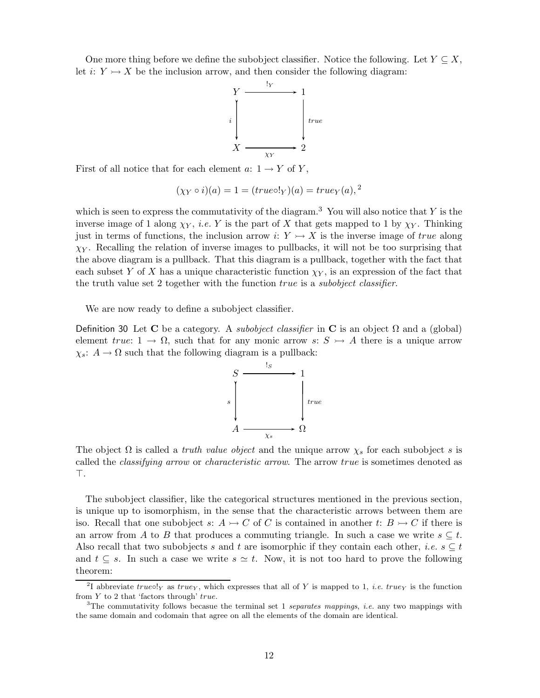One more thing before we define the subobject classifier. Notice the following. Let  $Y \subseteq X$ , let i:  $Y \rightarrow X$  be the inclusion arrow, and then consider the following diagram:



First of all notice that for each element  $a: 1 \rightarrow Y$  of Y,

$$
(\chi_Y \circ i)(a) = 1 = (true \circ !_Y)(a) = true_Y(a),^2
$$

which is seen to express the commutativity of the diagram.<sup>3</sup> You will also notice that  $Y$  is the inverse image of 1 along  $\chi_Y$ , *i.e.* Y is the part of X that gets mapped to 1 by  $\chi_Y$ . Thinking just in terms of functions, the inclusion arrow i:  $Y \rightarrow X$  is the inverse image of true along  $\chi_Y$ . Recalling the relation of inverse images to pullbacks, it will not be too surprising that the above diagram is a pullback. That this diagram is a pullback, together with the fact that each subset Y of X has a unique characteristic function  $\chi_Y$ , is an expression of the fact that the truth value set 2 together with the function *true* is a *subobject classifier*.

We are now ready to define a subobject classifier.

Definition 30 Let C be a category. A *subobject classifier* in C is an object  $\Omega$  and a (global) element true:  $1 \rightarrow \Omega$ , such that for any monic arrow s:  $S \rightarrow A$  there is a unique arrow  $\chi_s$ :  $A \to \Omega$  such that the following diagram is a pullback:



The object  $\Omega$  is called a *truth value object* and the unique arrow  $\chi_s$  for each subobject s is called the classifying arrow or characteristic arrow. The arrow true is sometimes denoted as ⊤.

The subobject classifier, like the categorical structures mentioned in the previous section, is unique up to isomorphism, in the sense that the characteristic arrows between them are iso. Recall that one subobject s:  $A \rightarrowtail C$  of C is contained in another t:  $B \rightarrowtail C$  if there is an arrow from A to B that produces a commuting triangle. In such a case we write  $s \subseteq t$ . Also recall that two subobjects s and t are isomorphic if they contain each other, *i.e.*  $s \subseteq t$ and  $t \subseteq s$ . In such a case we write  $s \simeq t$ . Now, it is not too hard to prove the following theorem:

<sup>&</sup>lt;sup>2</sup>I abbreviate true $\circ$ !<sub>Y</sub> as true<sub>Y</sub>, which expresses that all of Y is mapped to 1, *i.e.* true<sub>Y</sub> is the function from Y to 2 that 'factors through' true.

<sup>&</sup>lt;sup>3</sup>The commutativity follows becasue the terminal set 1 separates mappings, *i.e.* any two mappings with the same domain and codomain that agree on all the elements of the domain are identical.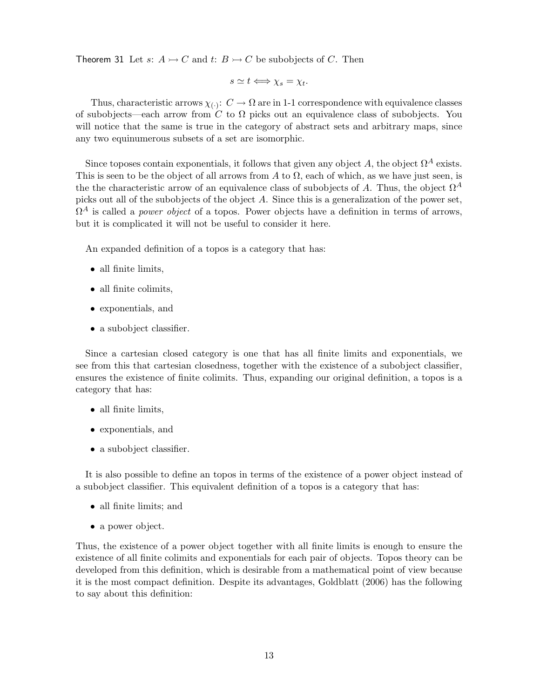Theorem 31 Let s:  $A \rightarrowtail C$  and t:  $B \rightarrowtail C$  be subobjects of C. Then

$$
s \simeq t \Longleftrightarrow \chi_s = \chi_t.
$$

Thus, characteristic arrows  $\chi_{(\cdot)}\colon C\to\Omega$  are in 1-1 correspondence with equivalence classes of subobjects—each arrow from C to  $\Omega$  picks out an equivalence class of subobjects. You will notice that the same is true in the category of abstract sets and arbitrary maps, since any two equinumerous subsets of a set are isomorphic.

Since toposes contain exponentials, it follows that given any object A, the object  $\Omega^A$  exists. This is seen to be the object of all arrows from A to  $\Omega$ , each of which, as we have just seen, is the the characteristic arrow of an equivalence class of subobjects of A. Thus, the object  $\Omega^A$ picks out all of the subobjects of the object A. Since this is a generalization of the power set,  $\Omega^A$  is called a *power object* of a topos. Power objects have a definition in terms of arrows, but it is complicated it will not be useful to consider it here.

An expanded definition of a topos is a category that has:

- all finite limits,
- all finite colimits,
- exponentials, and
- a subobject classifier.

Since a cartesian closed category is one that has all finite limits and exponentials, we see from this that cartesian closedness, together with the existence of a subobject classifier, ensures the existence of finite colimits. Thus, expanding our original definition, a topos is a category that has:

- all finite limits,
- exponentials, and
- a subobject classifier.

It is also possible to define an topos in terms of the existence of a power object instead of a subobject classifier. This equivalent definition of a topos is a category that has:

- all finite limits; and
- a power object.

Thus, the existence of a power object together with all finite limits is enough to ensure the existence of all finite colimits and exponentials for each pair of objects. Topos theory can be developed from this definition, which is desirable from a mathematical point of view because it is the most compact definition. Despite its advantages, Goldblatt (2006) has the following to say about this definition: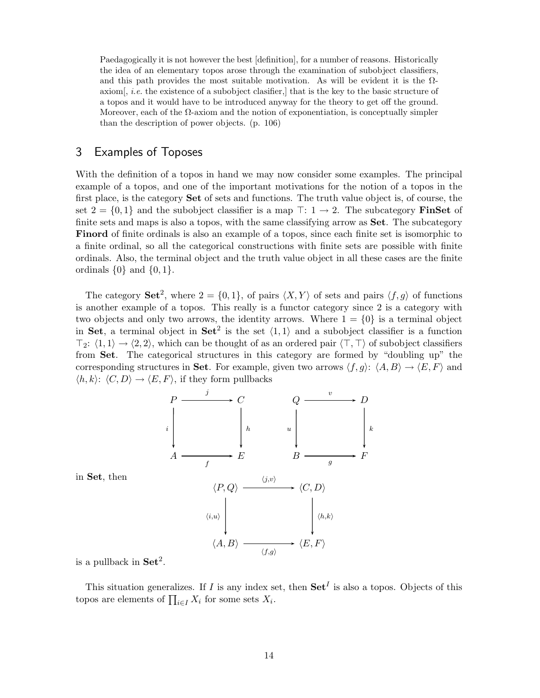Paedagogically it is not however the best [definition], for a number of reasons. Historically the idea of an elementary topos arose through the examination of subobject classifiers, and this path provides the most suitable motivation. As will be evident it is the  $\Omega$ axiom, *i.e.* the existence of a subobject clasifier, that is the key to the basic structure of a topos and it would have to be introduced anyway for the theory to get off the ground. Moreover, each of the  $\Omega$ -axiom and the notion of exponentiation, is conceptually simpler than the description of power objects. (p. 106)

## 3 Examples of Toposes

With the definition of a topos in hand we may now consider some examples. The principal example of a topos, and one of the important motivations for the notion of a topos in the first place, is the category Set of sets and functions. The truth value object is, of course, the set  $2 = \{0, 1\}$  and the subobject classifier is a map  $\top: 1 \rightarrow 2$ . The subcategory **FinSet** of finite sets and maps is also a topos, with the same classifying arrow as **Set**. The subcategory Finord of finite ordinals is also an example of a topos, since each finite set is isomorphic to a finite ordinal, so all the categorical constructions with finite sets are possible with finite ordinals. Also, the terminal object and the truth value object in all these cases are the finite ordinals  $\{0\}$  and  $\{0, 1\}$ .

The category **Set**<sup>2</sup>, where  $2 = \{0, 1\}$ , of pairs  $\langle X, Y \rangle$  of sets and pairs  $\langle f, g \rangle$  of functions is another example of a topos. This really is a functor category since 2 is a category with two objects and only two arrows, the identity arrows. Where  $1 = \{0\}$  is a terminal object in Set, a terminal object in Set<sup>2</sup> is the set  $\langle 1, 1 \rangle$  and a subobject classifier is a function  $\top_2: \langle 1, 1 \rangle \rightarrow \langle 2, 2 \rangle$ , which can be thought of as an ordered pair  $\langle \top, \top \rangle$  of subobject classifiers from Set. The categorical structures in this category are formed by "doubling up" the corresponding structures in Set. For example, given two arrows  $\langle f, g \rangle$ :  $\langle A, B \rangle \rightarrow \langle E, F \rangle$  and  $\langle h,k \rangle: \langle C,D \rangle \rightarrow \langle E,F \rangle$ , if they form pullbacks





is a pullback in  $\operatorname{Set}^2$ .

This situation generalizes. If I is any index set, then  $\mathbf{Set}^I$  is also a topos. Objects of this topos are elements of  $\prod_{i \in I} X_i$  for some sets  $X_i$ .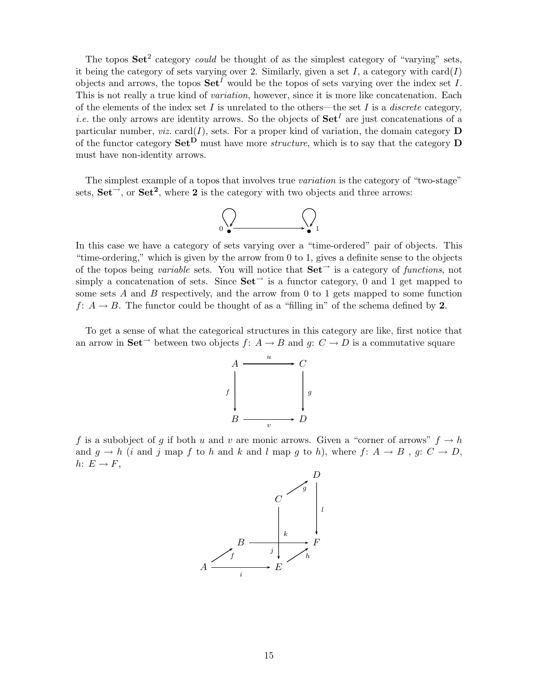The topos  $\mathbf{Set}^2$  category *could* be thought of as the simplest category of "varying" sets, it being the category of sets varying over 2. Similarly, given a set I, a category with  $card(I)$ objects and arrows, the topos  $\mathbf{Set}^{I}$  would be the topos of sets varying over the index set I. This is not really a true kind of *variation*, however, since it is more like concatenation. Each of the elements of the index set I is unrelated to the others—the set I is a *discrete* category, *i.e.* the only arrows are identity arrows. So the objects of  $\mathbf{Set}^I$  are just concatenations of a particular number, *viz.* card( $I$ ), sets. For a proper kind of variation, the domain category **D** of the functor category  $\mathbf{Set}^{\mathbf{D}}$  must have more *structure*, which is to say that the category  $\mathbf{D}$ must have non-identity arrows.

The simplest example of a topos that involves true variation is the category of "two-stage" sets,  $\textbf{Set}^{\rightarrow}$ , or  $\textbf{Set}^2$ , where 2 is the category with two objects and three arrows:



In this case we have a category of sets varying over a "time-ordered" pair of objects. This "time-ordering," which is given by the arrow from 0 to 1, gives a definite sense to the objects of the topos being variable sets. You will notice that  $\mathbf{Set}^{\rightarrow}$  is a category of functions, not simply a concatenation of sets. Since  $\mathbf{Set}^{\rightarrow}$  is a functor category, 0 and 1 get mapped to some sets  $A$  and  $B$  respectively, and the arrow from 0 to 1 gets mapped to some function f:  $A \rightarrow B$ . The functor could be thought of as a "filling in" of the schema defined by 2.

To get a sense of what the categorical structures in this category are like, first notice that an arrow in  $\textbf{Set}^{\rightarrow}$  between two objects  $f: A \rightarrow B$  and  $q: C \rightarrow D$  is a commutative square



f is a subobject of g if both u and v are monic arrows. Given a "corner of arrows"  $f \to h$ and  $g \to h$  (i and j map f to h and k and l map g to h), where f:  $A \to B$ , g:  $C \to D$ , h:  $E \rightarrow F$ ,

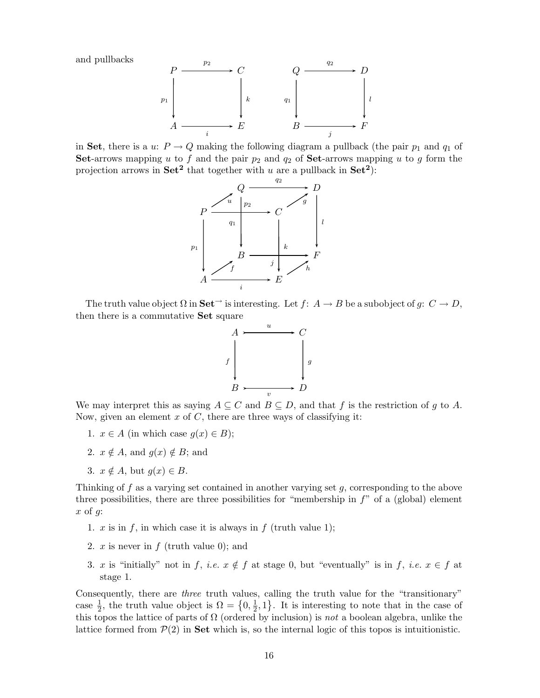and pullbacks



in Set, there is a u:  $P \to Q$  making the following diagram a pullback (the pair  $p_1$  and  $q_1$  of Set-arrows mapping u to f and the pair  $p_2$  and  $q_2$  of Set-arrows mapping u to g form the projection arrows in Set<sup>2</sup> that together with u are a pullback in Set<sup>2</sup>).



The truth value object  $\Omega$  in  $\mathbf{Set}^{\to}$  is interesting. Let  $f: A \to B$  be a subobject of  $g: C \to D$ , then there is a commutative Set square



We may interpret this as saying  $A \subseteq C$  and  $B \subseteq D$ , and that f is the restriction of g to A. Now, given an element  $x$  of  $C$ , there are three ways of classifying it:

- 1.  $x \in A$  (in which case  $g(x) \in B$ );
- 2.  $x \notin A$ , and  $q(x) \notin B$ ; and
- 3.  $x \notin A$ , but  $q(x) \in B$ .

Thinking of  $f$  as a varying set contained in another varying set  $g$ , corresponding to the above three possibilities, there are three possibilities for "membership in  $f$ " of a (global) element  $x \text{ of } q$ :

- 1.  $x$  is in  $f$ , in which case it is always in  $f$  (truth value 1);
- 2.  $x$  is never in  $f$  (truth value 0); and
- 3. x is "initially" not in f, i.e.  $x \notin f$  at stage 0, but "eventually" is in f, i.e.  $x \in f$  at stage 1.

Consequently, there are three truth values, calling the truth value for the "transitionary" case  $\frac{1}{2}$ , the truth value object is  $\Omega = \{0, \frac{1}{2}$  $\frac{1}{2}$ , 1. It is interesting to note that in the case of this topos the lattice of parts of  $\Omega$  (ordered by inclusion) is not a boolean algebra, unlike the lattice formed from  $P(2)$  in Set which is, so the internal logic of this topos is intuitionistic.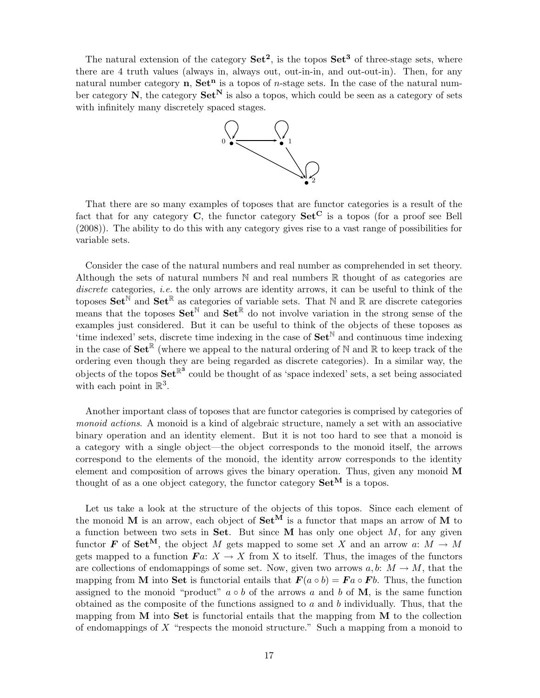The natural extension of the category  $\textbf{Set}^2$ , is the topos  $\textbf{Set}^3$  of three-stage sets, where there are 4 truth values (always in, always out, out-in-in, and out-out-in). Then, for any natural number category **n**,  $\mathbf{Set}^n$  is a topos of *n*-stage sets. In the case of the natural number category  $N$ , the category  $Set^N$  is also a topos, which could be seen as a category of sets with infinitely many discretely spaced stages.



That there are so many examples of toposes that are functor categories is a result of the fact that for any category  $C$ , the functor category  $Set^C$  is a topos (for a proof see Bell (2008)). The ability to do this with any category gives rise to a vast range of possibilities for variable sets.

Consider the case of the natural numbers and real number as comprehended in set theory. Although the sets of natural numbers  $\mathbb N$  and real numbers  $\mathbb R$  thought of as categories are discrete categories, *i.e.* the only arrows are identity arrows, it can be useful to think of the toposes  $\mathbf{Set}^{\mathbb{N}}$  and  $\mathbf{Set}^{\mathbb{R}}$  as categories of variable sets. That  $\mathbb{N}$  and  $\mathbb{R}$  are discrete categories means that the toposes  $\mathbf{Set}^{\mathbb{N}}$  and  $\mathbf{Set}^{\mathbb{R}}$  do not involve variation in the strong sense of the examples just considered. But it can be useful to think of the objects of these toposes as 'time indexed' sets, discrete time indexing in the case of  $\mathbf{Set}^{\mathbb{N}}$  and continuous time indexing in the case of  $\mathbf{Set}^{\mathbb{R}}$  (where we appeal to the natural ordering of N and R to keep track of the ordering even though they are being regarded as discrete categories). In a similar way, the objects of the topos  $\textbf{Set}^{\mathbb{R}^3}$  could be thought of as 'space indexed' sets, a set being associated with each point in  $\mathbb{R}^3$ .

Another important class of toposes that are functor categories is comprised by categories of monoid actions. A monoid is a kind of algebraic structure, namely a set with an associative binary operation and an identity element. But it is not too hard to see that a monoid is a category with a single object—the object corresponds to the monoid itself, the arrows correspond to the elements of the monoid, the identity arrow corresponds to the identity element and composition of arrows gives the binary operation. Thus, given any monoid M thought of as a one object category, the functor category  $\mathbf{Set}^{\mathbf{M}}$  is a topos.

Let us take a look at the structure of the objects of this topos. Since each element of the monoid M is an arrow, each object of  $\mathbf{Set}^{\mathbf{M}}$  is a functor that maps an arrow of M to a function between two sets in Set. But since M has only one object  $M$ , for any given functor **F** of Set<sup>M</sup>, the object M gets mapped to some set X and an arrow a:  $M \to M$ gets mapped to a function  $\boldsymbol{F}a: X \to X$  from X to itself. Thus, the images of the functors are collections of endomappings of some set. Now, given two arrows a, b:  $M \to M$ , that the mapping from M into Set is functorial entails that  $\mathbf{F}(a \circ b) = \mathbf{F}a \circ \mathbf{F}b$ . Thus, the function assigned to the monoid "product"  $a \circ b$  of the arrows a and b of M, is the same function obtained as the composite of the functions assigned to  $a$  and  $b$  individually. Thus, that the mapping from  $M$  into  $Set$  is functorial entails that the mapping from  $M$  to the collection of endomappings of X "respects the monoid structure." Such a mapping from a monoid to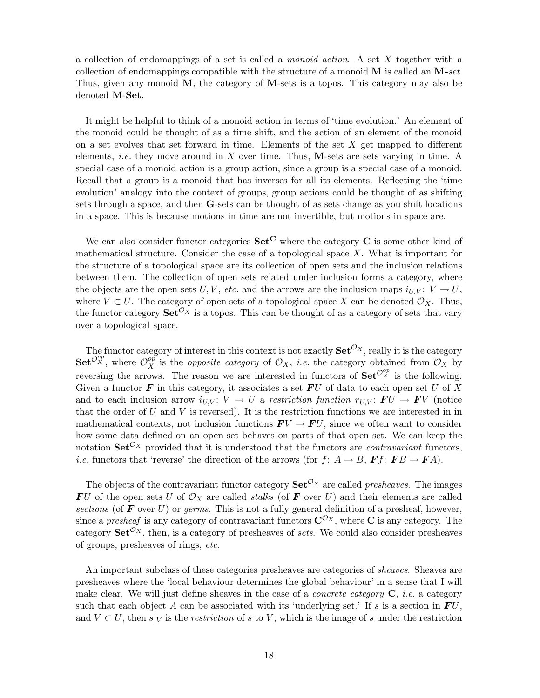a collection of endomappings of a set is called a *monoid action*. A set X together with a collection of endomappings compatible with the structure of a monoid  $M$  is called an  $M$ -set. Thus, given any monoid M, the category of M-sets is a topos. This category may also be denoted M-Set.

It might be helpful to think of a monoid action in terms of 'time evolution.' An element of the monoid could be thought of as a time shift, and the action of an element of the monoid on a set evolves that set forward in time. Elements of the set  $X$  get mapped to different elements, *i.e.* they move around in X over time. Thus, M-sets are sets varying in time. A special case of a monoid action is a group action, since a group is a special case of a monoid. Recall that a group is a monoid that has inverses for all its elements. Reflecting the 'time evolution' analogy into the context of groups, group actions could be thought of as shifting sets through a space, and then G-sets can be thought of as sets change as you shift locations in a space. This is because motions in time are not invertible, but motions in space are.

We can also consider functor categories  $\mathbf{Set}^{\mathbf{C}}$  where the category  $\mathbf C$  is some other kind of mathematical structure. Consider the case of a topological space  $X$ . What is important for the structure of a topological space are its collection of open sets and the inclusion relations between them. The collection of open sets related under inclusion forms a category, where the objects are the open sets U,V, etc. and the arrows are the inclusion maps  $i_{UV}: V \to U$ , where  $V \subset U$ . The category of open sets of a topological space X can be denoted  $\mathcal{O}_X$ . Thus, the functor category  $\textbf{Set}^{\mathcal{O}_X}$  is a topos. This can be thought of as a category of sets that vary over a topological space.

The functor category of interest in this context is not exactly  $\mathbf{Set}^{\mathcal{O}_X}$ , really it is the category  $\mathbf{Set}^{\mathcal{O}_X^{op}}$ , where  $\mathcal{O}_X^{op}$  is the *opposite category* of  $\mathcal{O}_X$ , *i.e.* the category obtained from  $\mathcal{O}_X$  by reversing the arrows. The reason we are interested in functors of  $\textbf{Set}^{\mathcal{O}_X^{op}}$  is the following. Given a functor  $\boldsymbol{F}$  in this category, it associates a set  $\boldsymbol{F}U$  of data to each open set U of X and to each inclusion arrow  $i_{U,V}: V \to U$  a restriction function  $r_{U,V}: FU \to FV$  (notice that the order of  $U$  and  $V$  is reversed). It is the restriction functions we are interested in in mathematical contexts, not inclusion functions  $\boldsymbol{F}V \to \boldsymbol{F}U$ , since we often want to consider how some data defined on an open set behaves on parts of that open set. We can keep the notation  $\mathbf{Set}^{\mathcal{O}_X}$  provided that it is understood that the functors are *contravariant* functors, *i.e.* functors that 'reverse' the direction of the arrows (for  $f: A \rightarrow B$ ,  $\mathbf{F} f: \mathbf{F} B \rightarrow \mathbf{F} A$ ).

The objects of the contravariant functor category  $\textbf{Set}^{\mathcal{O}_X}$  are called presheaves. The images  $\boldsymbol{F}U$  of the open sets U of  $\mathcal{O}_X$  are called *stalks* (of  $\boldsymbol{F}$  over U) and their elements are called sections (of  $\bf{F}$  over  $\bf{U}$ ) or germs. This is not a fully general definition of a presheaf, however, since a presheaf is any category of contravariant functors  $\mathbf{C}^{\mathcal{O}_X}$ , where  $\mathbf C$  is any category. The category  $\textbf{Set}^{\mathcal{O}_X}$ , then, is a category of presheaves of sets. We could also consider presheaves of groups, presheaves of rings, etc.

An important subclass of these categories presheaves are categories of sheaves. Sheaves are presheaves where the 'local behaviour determines the global behaviour' in a sense that I will make clear. We will just define sheaves in the case of a *concrete category*  $\mathbf{C}$ , *i.e.* a category such that each object A can be associated with its 'underlying set.' If s is a section in  $FU$ , and  $V \subset U$ , then  $s|_V$  is the *restriction* of s to V, which is the image of s under the restriction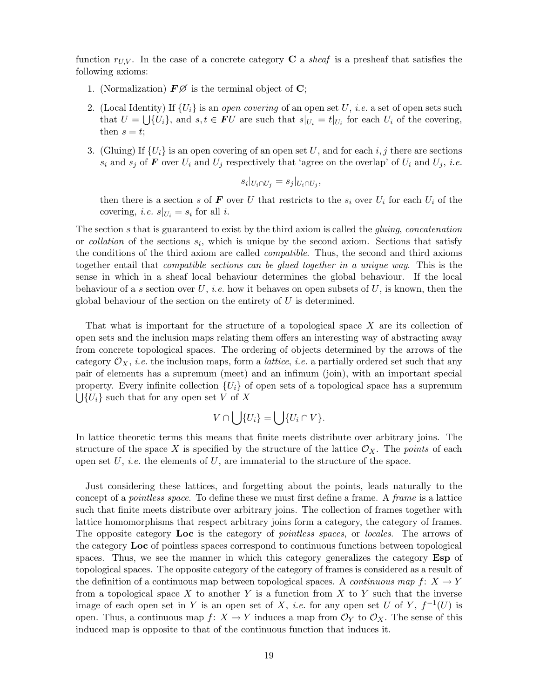function  $r_{UV}$ . In the case of a concrete category **C** a sheaf is a presheaf that satisfies the following axioms:

- 1. (Normalization)  $\mathbf{F}\mathcal{D}$  is the terminal object of C;
- 2. (Local Identity) If  $\{U_i\}$  is an *open covering* of an open set U, *i.e.* a set of open sets such that  $U = \bigcup \{U_i\}$ , and  $s, t \in FU$  are such that  $s|_{U_i} = t|_{U_i}$  for each  $U_i$  of the covering, then  $s = t$ ;
- 3. (Gluing) If  $\{U_i\}$  is an open covering of an open set U, and for each i, j there are sections  $s_i$  and  $s_j$  of  $\boldsymbol{F}$  over  $U_i$  and  $U_j$  respectively that 'agree on the overlap' of  $U_i$  and  $U_j$ , *i.e.*

$$
s_i|_{U_i \cap U_j} = s_j|_{U_i \cap U_j},
$$

then there is a section s of F over U that restricts to the  $s_i$  over  $U_i$  for each  $U_i$  of the covering, *i.e.*  $s|_{U_i} = s_i$  for all *i*.

The section s that is guaranteed to exist by the third axiom is called the *gluing*, *concatenation* or *collation* of the sections  $s_i$ , which is unique by the second axiom. Sections that satisfy the conditions of the third axiom are called compatible. Thus, the second and third axioms together entail that compatible sections can be glued together in a unique way. This is the sense in which in a sheaf local behaviour determines the global behaviour. If the local behaviour of a s section over U, *i.e.* how it behaves on open subsets of U, is known, then the global behaviour of the section on the entirety of  $U$  is determined.

That what is important for the structure of a topological space X are its collection of open sets and the inclusion maps relating them offers an interesting way of abstracting away from concrete topological spaces. The ordering of objects determined by the arrows of the category  $\mathcal{O}_X$ , *i.e.* the inclusion maps, form a *lattice*, *i.e.* a partially ordered set such that any pair of elements has a supremum (meet) and an infimum (join), with an important special property. Every infinite collection  $\{U_i\}$  of open sets of a topological space has a supremum  $\bigcup \{U_i\}$  such that for any open set V of X

$$
V \cap \bigcup \{U_i\} = \bigcup \{U_i \cap V\}.
$$

In lattice theoretic terms this means that finite meets distribute over arbitrary joins. The structure of the space X is specified by the structure of the lattice  $\mathcal{O}_X$ . The points of each open set  $U$ , *i.e.* the elements of  $U$ , are immaterial to the structure of the space.

Just considering these lattices, and forgetting about the points, leads naturally to the concept of a *pointless space*. To define these we must first define a frame. A *frame* is a lattice such that finite meets distribute over arbitrary joins. The collection of frames together with lattice homomorphisms that respect arbitrary joins form a category, the category of frames. The opposite category Loc is the category of *pointless spaces*, or *locales*. The arrows of the category Loc of pointless spaces correspond to continuous functions between topological spaces. Thus, we see the manner in which this category generalizes the category Esp of topological spaces. The opposite category of the category of frames is considered as a result of the definition of a continuous map between topological spaces. A *continuous map*  $f: X \to Y$ from a topological space  $X$  to another  $Y$  is a function from  $X$  to  $Y$  such that the inverse image of each open set in Y is an open set of X, *i.e.* for any open set U of Y,  $f^{-1}(U)$  is open. Thus, a continuous map  $f: X \to Y$  induces a map from  $\mathcal{O}_Y$  to  $\mathcal{O}_X$ . The sense of this induced map is opposite to that of the continuous function that induces it.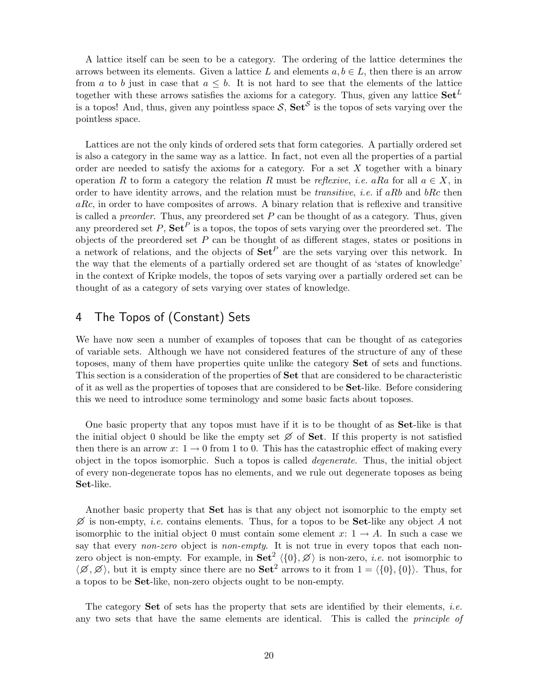A lattice itself can be seen to be a category. The ordering of the lattice determines the arrows between its elements. Given a lattice L and elements  $a, b \in L$ , then there is an arrow from a to b just in case that  $a \leq b$ . It is not hard to see that the elements of the lattice together with these arrows satisfies the axioms for a category. Thus, given any lattice  $\text{Set}^{L}$ is a topos! And, thus, given any pointless space  $S$ ,  $\textbf{Set}^S$  is the topos of sets varying over the pointless space.

Lattices are not the only kinds of ordered sets that form categories. A partially ordered set is also a category in the same way as a lattice. In fact, not even all the properties of a partial order are needed to satisfy the axioms for a category. For a set  $X$  together with a binary operation R to form a category the relation R must be reflexive, i.e. aRa for all  $a \in X$ , in order to have identity arrows, and the relation must be *transitive*, *i.e.* if aRb and  $bRc$  then  $aRc$ , in order to have composites of arrows. A binary relation that is reflexive and transitive is called a *preorder*. Thus, any preordered set  $P$  can be thought of as a category. Thus, given any preordered set P,  $\mathbf{Set}^P$  is a topos, the topos of sets varying over the preordered set. The objects of the preordered set  $P$  can be thought of as different stages, states or positions in a network of relations, and the objects of  $\mathbf{Set}^P$  are the sets varying over this network. In the way that the elements of a partially ordered set are thought of as 'states of knowledge' in the context of Kripke models, the topos of sets varying over a partially ordered set can be thought of as a category of sets varying over states of knowledge.

### 4 The Topos of (Constant) Sets

We have now seen a number of examples of toposes that can be thought of as categories of variable sets. Although we have not considered features of the structure of any of these toposes, many of them have properties quite unlike the category Set of sets and functions. This section is a consideration of the properties of Set that are considered to be characteristic of it as well as the properties of toposes that are considered to be Set-like. Before considering this we need to introduce some terminology and some basic facts about toposes.

One basic property that any topos must have if it is to be thought of as **Set**-like is that the initial object 0 should be like the empty set  $\emptyset$  of **Set**. If this property is not satisfied then there is an arrow x:  $1 \rightarrow 0$  from 1 to 0. This has the catastrophic effect of making every object in the topos isomorphic. Such a topos is called degenerate. Thus, the initial object of every non-degenerate topos has no elements, and we rule out degenerate toposes as being Set-like.

Another basic property that Set has is that any object not isomorphic to the empty set  $\emptyset$  is non-empty, *i.e.* contains elements. Thus, for a topos to be **Set**-like any object A not isomorphic to the initial object 0 must contain some element x:  $1 \rightarrow A$ . In such a case we say that every non-zero object is non-empty. It is not true in every topos that each nonzero object is non-empty. For example, in  $\textbf{Set}^2 \langle \{0\}, \emptyset \rangle$  is non-zero, *i.e.* not isomorphic to  $\langle \emptyset, \emptyset \rangle$ , but it is empty since there are no Set<sup>2</sup> arrows to it from  $1 = \langle \{0\}, \{0\} \rangle$ . Thus, for a topos to be Set-like, non-zero objects ought to be non-empty.

The category **Set** of sets has the property that sets are identified by their elements, *i.e.* any two sets that have the same elements are identical. This is called the *principle of*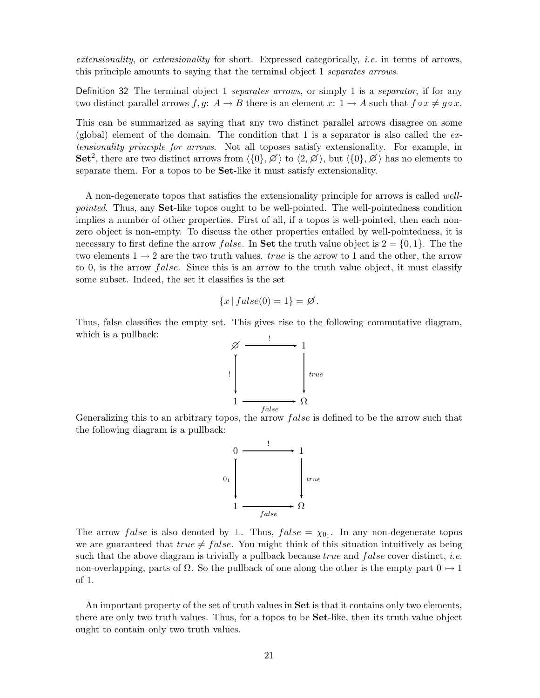extensionality, or extensionality for short. Expressed categorically, i.e. in terms of arrows, this principle amounts to saying that the terminal object 1 separates arrows.

Definition 32 The terminal object 1 separates arrows, or simply 1 is a separator, if for any two distinct parallel arrows  $f, g: A \to B$  there is an element  $x: 1 \to A$  such that  $f \circ x \neq g \circ x$ .

This can be summarized as saying that any two distinct parallel arrows disagree on some (global) element of the domain. The condition that 1 is a separator is also called the  $ex$ tensionality principle for arrows. Not all toposes satisfy extensionality. For example, in Set<sup>2</sup>, there are two distinct arrows from  $\langle \{0\},\varnothing\rangle$  to  $\langle 2,\varnothing\rangle$ , but  $\langle \{0\},\varnothing\rangle$  has no elements to separate them. For a topos to be Set-like it must satisfy extensionality.

A non-degenerate topos that satisfies the extensionality principle for arrows is called wellpointed. Thus, any Set-like topos ought to be well-pointed. The well-pointedness condition implies a number of other properties. First of all, if a topos is well-pointed, then each nonzero object is non-empty. To discuss the other properties entailed by well-pointedness, it is necessary to first define the arrow *false*. In **Set** the truth value object is  $2 = \{0, 1\}$ . The the two elements  $1 \rightarrow 2$  are the two truth values. *true* is the arrow to 1 and the other, the arrow to 0, is the arrow false. Since this is an arrow to the truth value object, it must classify some subset. Indeed, the set it classifies is the set

$$
\{x \mid false(0) = 1\} = \emptyset.
$$

Thus, false classifies the empty set. This gives rise to the following commutative diagram, which is a pullback:



Generalizing this to an arbitrary topos, the arrow false is defined to be the arrow such that the following diagram is a pullback:



The arrow *false* is also denoted by  $\perp$ . Thus, *false* =  $\chi_{0_1}$ . In any non-degenerate topos we are guaranteed that  $true \neq false$ . You might think of this situation intuitively as being such that the above diagram is trivially a pullback because  $true$  and  $false$  cover distinct, *i.e.* non-overlapping, parts of  $\Omega$ . So the pullback of one along the other is the empty part  $0 \rightarrow 1$ of 1.

An important property of the set of truth values in Set is that it contains only two elements, there are only two truth values. Thus, for a topos to be Set-like, then its truth value object ought to contain only two truth values.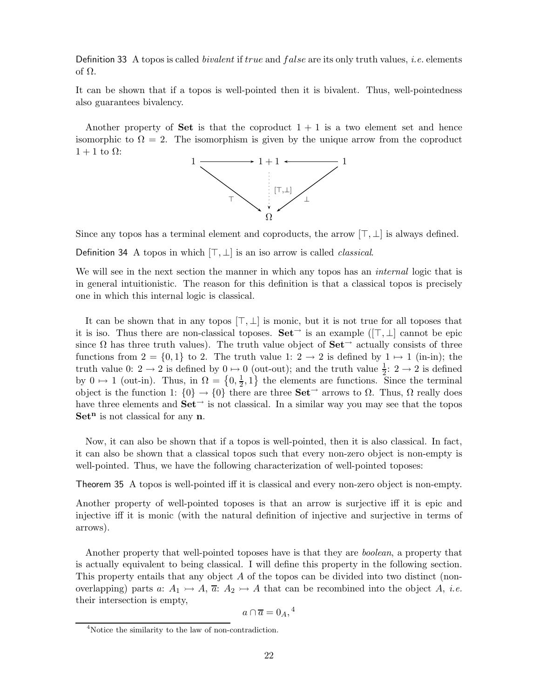Definition 33 A topos is called *bivalent* if *true* and *false* are its only truth values, *i.e.* elements of Ω.

It can be shown that if a topos is well-pointed then it is bivalent. Thus, well-pointedness also guarantees bivalency.

Another property of **Set** is that the coproduct  $1 + 1$  is a two element set and hence isomorphic to  $\Omega = 2$ . The isomorphism is given by the unique arrow from the coproduct  $1 + 1$  to  $\Omega$ :



Since any topos has a terminal element and coproducts, the arrow  $[\top, \bot]$  is always defined.

Definition 34 A topos in which  $[\top, \bot]$  is an iso arrow is called *classical*.

We will see in the next section the manner in which any topos has an *internal* logic that is in general intuitionistic. The reason for this definition is that a classical topos is precisely one in which this internal logic is classical.

It can be shown that in any topos  $[\top, \bot]$  is monic, but it is not true for all toposes that it is iso. Thus there are non-classical toposes.  $\mathbf{Set}^{\rightarrow}$  is an example  $([\top, \bot]$  cannot be epic since  $\Omega$  has three truth values). The truth value object of  $\mathbf{Set}^{\rightarrow}$  actually consists of three functions from  $2 = \{0, 1\}$  to 2. The truth value 1:  $2 \rightarrow 2$  is defined by  $1 \mapsto 1$  (in-in); the truth value 0:  $2 \rightarrow 2$  is defined by  $0 \rightarrow 0$  (out-out); and the truth value  $\frac{1}{2}$ :  $2 \rightarrow 2$  is defined by  $0 \mapsto 1$  (out-in). Thus, in  $\Omega = \{0, \frac{1}{2}\}$  $\frac{1}{2}$ , 1} the elements are functions. Since the terminal object is the function 1:  $\{0\} \rightarrow \{0\}$  there are three Set<sup>→</sup> arrows to  $\Omega$ . Thus,  $\Omega$  really does have three elements and  $\mathbf{Set}^{\rightarrow}$  is not classical. In a similar way you may see that the topos  $Set<sup>n</sup>$  is not classical for any  $n$ .

Now, it can also be shown that if a topos is well-pointed, then it is also classical. In fact, it can also be shown that a classical topos such that every non-zero object is non-empty is well-pointed. Thus, we have the following characterization of well-pointed toposes:

Theorem 35 A topos is well-pointed iff it is classical and every non-zero object is non-empty.

Another property of well-pointed toposes is that an arrow is surjective iff it is epic and injective iff it is monic (with the natural definition of injective and surjective in terms of arrows).

Another property that well-pointed toposes have is that they are boolean, a property that is actually equivalent to being classical. I will define this property in the following section. This property entails that any object A of the topos can be divided into two distinct (nonoverlapping) parts a:  $A_1 \rightarrow A$ ,  $\overline{a}$ :  $A_2 \rightarrow A$  that can be recombined into the object A, *i.e.* their intersection is empty,

$$
a \cap \overline{a} = 0_A, {}^4
$$

<sup>4</sup>Notice the similarity to the law of non-contradiction.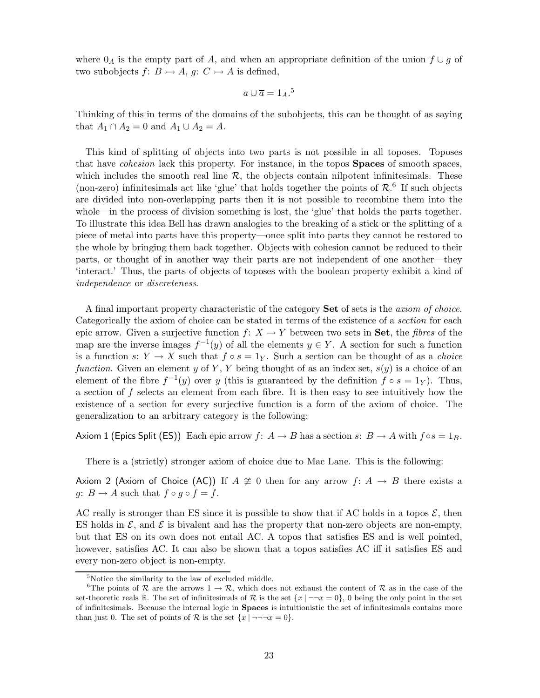where  $0_A$  is the empty part of A, and when an appropriate definition of the union  $f \cup g$  of two subobjects  $f: B \rightarrow A$ ,  $g: C \rightarrow A$  is defined,

$$
a \cup \overline{a} = 1_A.^5
$$

Thinking of this in terms of the domains of the subobjects, this can be thought of as saying that  $A_1 \cap A_2 = 0$  and  $A_1 \cup A_2 = A$ .

This kind of splitting of objects into two parts is not possible in all toposes. Toposes that have *cohesion* lack this property. For instance, in the topos **Spaces** of smooth spaces, which includes the smooth real line  $R$ , the objects contain nilpotent infinitesimals. These (non-zero) infinitesimals act like 'glue' that holds together the points of  $\mathcal{R}$ .<sup>6</sup> If such objects are divided into non-overlapping parts then it is not possible to recombine them into the whole—in the process of division something is lost, the 'glue' that holds the parts together. To illustrate this idea Bell has drawn analogies to the breaking of a stick or the splitting of a piece of metal into parts have this property—once split into parts they cannot be restored to the whole by bringing them back together. Objects with cohesion cannot be reduced to their parts, or thought of in another way their parts are not independent of one another—they 'interact.' Thus, the parts of objects of toposes with the boolean property exhibit a kind of independence or discreteness.

A final important property characteristic of the category Set of sets is the axiom of choice. Categorically the axiom of choice can be stated in terms of the existence of a section for each epic arrow. Given a surjective function  $f: X \to Y$  between two sets in Set, the *fibres* of the map are the inverse images  $f^{-1}(y)$  of all the elements  $y \in Y$ . A section for such a function is a function s:  $Y \to X$  such that  $f \circ s = 1_Y$ . Such a section can be thought of as a *choice* function. Given an element y of Y, Y being thought of as an index set,  $s(y)$  is a choice of an element of the fibre  $f^{-1}(y)$  over y (this is guaranteed by the definition  $f \circ s = 1_Y$ ). Thus, a section of  $f$  selects an element from each fibre. It is then easy to see intuitively how the existence of a section for every surjective function is a form of the axiom of choice. The generalization to an arbitrary category is the following:

Axiom 1 (Epics Split (ES)) Each epic arrow  $f: A \to B$  has a section  $s: B \to A$  with  $f \circ s = 1_B$ .

There is a (strictly) stronger axiom of choice due to Mac Lane. This is the following:

Axiom 2 (Axiom of Choice (AC)) If  $A \not\cong 0$  then for any arrow  $f: A \rightarrow B$  there exists a g:  $B \to A$  such that  $f \circ g \circ f = f$ .

AC really is stronger than ES since it is possible to show that if AC holds in a topos  $\mathcal{E}$ , then ES holds in  $\mathcal{E}$ , and  $\mathcal{E}$  is bivalent and has the property that non-zero objects are non-empty, but that ES on its own does not entail AC. A topos that satisfies ES and is well pointed, however, satisfies AC. It can also be shown that a topos satisfies AC iff it satisfies ES and every non-zero object is non-empty.

<sup>5</sup>Notice the similarity to the law of excluded middle.

<sup>&</sup>lt;sup>6</sup>The points of R are the arrows  $1 \to \mathcal{R}$ , which does not exhaust the content of R as in the case of the set-theoretic reals R. The set of infinitesimals of R is the set  $\{x \mid \neg \neg x = 0\}$ , 0 being the only point in the set of infinitesimals. Because the internal logic in Spaces is intuitionistic the set of infinitesimals contains more than just 0. The set of points of R is the set  $\{x \mid \neg \neg \neg x = 0\}$ .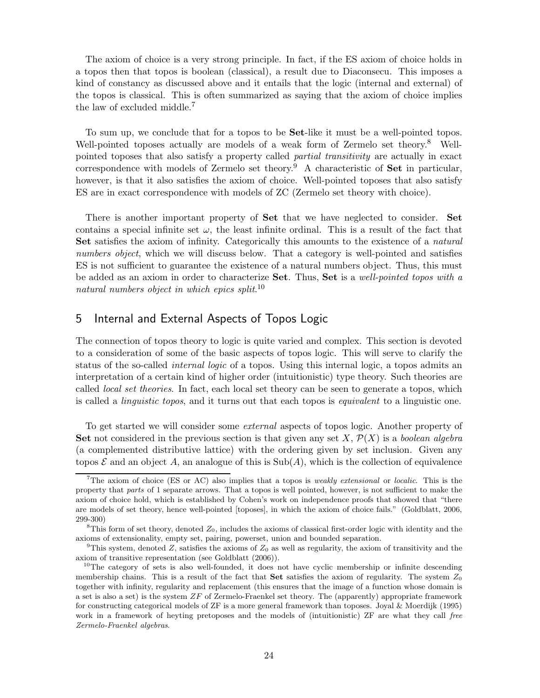The axiom of choice is a very strong principle. In fact, if the ES axiom of choice holds in a topos then that topos is boolean (classical), a result due to Diaconsecu. This imposes a kind of constancy as discussed above and it entails that the logic (internal and external) of the topos is classical. This is often summarized as saying that the axiom of choice implies the law of excluded middle.<sup>7</sup>

To sum up, we conclude that for a topos to be Set-like it must be a well-pointed topos. Well-pointed toposes actually are models of a weak form of Zermelo set theory.<sup>8</sup> Wellpointed toposes that also satisfy a property called partial transitivity are actually in exact correspondence with models of Zermelo set theory.<sup>9</sup> A characteristic of Set in particular, however, is that it also satisfies the axiom of choice. Well-pointed toposes that also satisfy ES are in exact correspondence with models of ZC (Zermelo set theory with choice).

There is another important property of Set that we have neglected to consider. Set contains a special infinite set  $\omega$ , the least infinite ordinal. This is a result of the fact that Set satisfies the axiom of infinity. Categorically this amounts to the existence of a *natural* numbers object, which we will discuss below. That a category is well-pointed and satisfies ES is not sufficient to guarantee the existence of a natural numbers object. Thus, this must be added as an axiom in order to characterize **Set**. Thus, **Set** is a well-pointed topos with a natural numbers object in which epics split.<sup>10</sup>

#### 5 Internal and External Aspects of Topos Logic

The connection of topos theory to logic is quite varied and complex. This section is devoted to a consideration of some of the basic aspects of topos logic. This will serve to clarify the status of the so-called internal logic of a topos. Using this internal logic, a topos admits an interpretation of a certain kind of higher order (intuitionistic) type theory. Such theories are called *local set theories*. In fact, each local set theory can be seen to generate a topos, which is called a linguistic topos, and it turns out that each topos is equivalent to a linguistic one.

To get started we will consider some external aspects of topos logic. Another property of Set not considered in the previous section is that given any set X,  $\mathcal{P}(X)$  is a boolean algebra (a complemented distributive lattice) with the ordering given by set inclusion. Given any topos  $\mathcal E$  and an object A, an analogue of this is  $\text{Sub}(A)$ , which is the collection of equivalence

<sup>&</sup>lt;sup>7</sup>The axiom of choice (ES or AC) also implies that a topos is *weakly extensional* or *localic*. This is the property that parts of 1 separate arrows. That a topos is well pointed, however, is not sufficient to make the axiom of choice hold, which is established by Cohen's work on independence proofs that showed that "there are models of set theory, hence well-pointed [toposes], in which the axiom of choice fails." (Goldblatt, 2006, 299-300)

<sup>&</sup>lt;sup>8</sup>This form of set theory, denoted  $Z_0$ , includes the axioms of classical first-order logic with identity and the axioms of extensionality, empty set, pairing, powerset, union and bounded separation.

<sup>&</sup>lt;sup>9</sup>This system, denoted Z, satisfies the axioms of  $Z_0$  as well as regularity, the axiom of transitivity and the axiom of transitive representation (see Goldblatt (2006)).

<sup>&</sup>lt;sup>10</sup>The category of sets is also well-founded, it does not have cyclic membership or infinite descending membership chains. This is a result of the fact that **Set** satisfies the axiom of regularity. The system  $Z_0$ together with infinity, regularity and replacement (this ensures that the image of a function whose domain is a set is also a set) is the system ZF of Zermelo-Fraenkel set theory. The (apparently) appropriate framework for constructing categorical models of ZF is a more general framework than toposes. Joyal & Moerdijk (1995) work in a framework of heyting pretoposes and the models of (intuitionistic) ZF are what they call free Zermelo-Fraenkel algebras.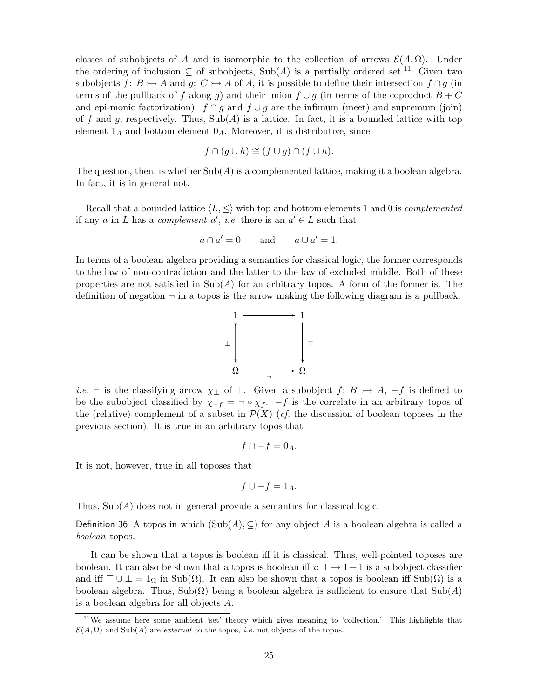classes of subobjects of A and is isomorphic to the collection of arrows  $\mathcal{E}(A,\Omega)$ . Under the ordering of inclusion  $\subseteq$  of subobjects, Sub(A) is a partially ordered set.<sup>11</sup> Given two subobjects  $f: B \rightarrow A$  and  $g: C \rightarrow A$  of A, it is possible to define their intersection  $f \cap g$  (in terms of the pullback of f along g) and their union  $f \cup g$  (in terms of the coproduct  $B + C$ and epi-monic factorization).  $f \cap g$  and  $f \cup g$  are the infimum (meet) and supremum (join) of f and g, respectively. Thus,  $\text{Sub}(A)$  is a lattice. In fact, it is a bounded lattice with top element  $1_A$  and bottom element  $0_A$ . Moreover, it is distributive, since

$$
f \cap (g \cup h) \cong (f \cup g) \cap (f \cup h).
$$

The question, then, is whether  $\text{Sub}(A)$  is a complemented lattice, making it a boolean algebra. In fact, it is in general not.

Recall that a bounded lattice  $\langle L, \leq \rangle$  with top and bottom elements 1 and 0 is *complemented* if any a in L has a complement  $a'$ , *i.e.* there is an  $a' \in L$  such that

$$
a \cap a' = 0 \qquad \text{and} \qquad a \cup a' = 1.
$$

In terms of a boolean algebra providing a semantics for classical logic, the former corresponds to the law of non-contradiction and the latter to the law of excluded middle. Both of these properties are not satisfied in  $\text{Sub}(A)$  for an arbitrary topos. A form of the former is. The definition of negation  $\neg$  in a topos is the arrow making the following diagram is a pullback:



*i.e.*  $\neg$  is the classifying arrow  $\chi_{\perp}$  of  $\perp$ . Given a subobject  $f: B \rightarrow A$ ,  $-f$  is defined to be the subobject classified by  $\chi_{-f} = \neg \circ \chi_f$ .  $-f$  is the correlate in an arbitrary topos of the (relative) complement of a subset in  $\mathcal{P}(X)$  (*cf.* the discussion of boolean toposes in the previous section). It is true in an arbitrary topos that

$$
f\cap -f=0_A.
$$

It is not, however, true in all toposes that

$$
f \cup -f = 1_A.
$$

Thus,  $\text{Sub}(A)$  does not in general provide a semantics for classical logic.

Definition 36 A topos in which  $(Sub(A), \subseteq)$  for any object A is a boolean algebra is called a boolean topos.

It can be shown that a topos is boolean iff it is classical. Thus, well-pointed toposes are boolean. It can also be shown that a topos is boolean iff  $i: 1 \rightarrow 1+1$  is a subobject classifier and iff  $\top \cup \bot = 1_{\Omega}$  in Sub( $\Omega$ ). It can also be shown that a topos is boolean iff Sub( $\Omega$ ) is a boolean algebra. Thus, Sub( $\Omega$ ) being a boolean algebra is sufficient to ensure that Sub(A) is a boolean algebra for all objects A.

<sup>&</sup>lt;sup>11</sup>We assume here some ambient 'set' theory which gives meaning to 'collection.' This highlights that  $\mathcal{E}(A,\Omega)$  and Sub(A) are *external* to the topos, *i.e.* not objects of the topos.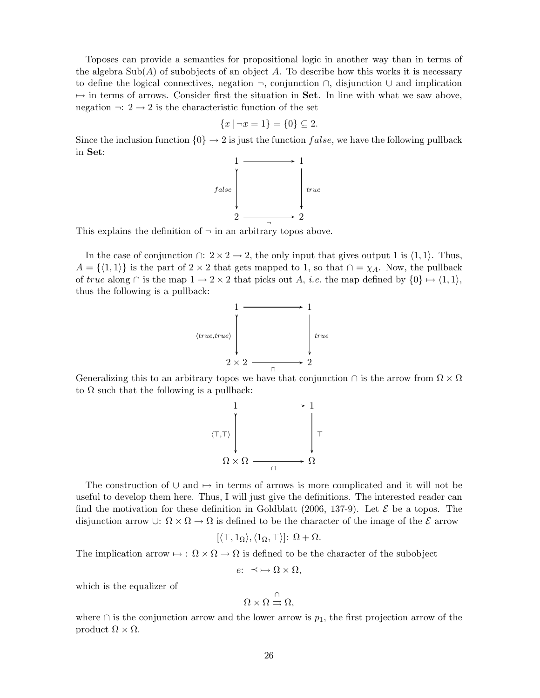Toposes can provide a semantics for propositional logic in another way than in terms of the algebra  $\text{Sub}(A)$  of subobjects of an object A. To describe how this works it is necessary to define the logical connectives, negation ¬, conjunction ∩, disjunction ∪ and implication  $\rightarrow$  in terms of arrows. Consider first the situation in **Set**. In line with what we saw above, negation  $\neg: 2 \rightarrow 2$  is the characteristic function of the set

$$
\{x \mid \neg x = 1\} = \{0\} \subseteq 2.
$$

Since the inclusion function  $\{0\} \rightarrow 2$  is just the function false, we have the following pullback in Set:



This explains the definition of  $\neg$  in an arbitrary topos above.

In the case of conjunction  $\cap: 2 \times 2 \rightarrow 2$ , the only input that gives output 1 is  $\langle 1, 1 \rangle$ . Thus,  $A = \{(1, 1)\}\$ is the part of 2 × 2 that gets mapped to 1, so that  $\cap = \chi_A$ . Now, the pullback of true along  $\cap$  is the map  $1 \rightarrow 2 \times 2$  that picks out A, *i.e.* the map defined by  $\{0\} \mapsto \langle 1, 1 \rangle$ , thus the following is a pullback:



Generalizing this to an arbitrary topos we have that conjunction  $\cap$  is the arrow from  $\Omega \times \Omega$ to  $\Omega$  such that the following is a pullback:



The construction of  $\cup$  and  $\mapsto$  in terms of arrows is more complicated and it will not be useful to develop them here. Thus, I will just give the definitions. The interested reader can find the motivation for these definition in Goldblatt (2006, 137-9). Let  $\mathcal E$  be a topos. The disjunction arrow ∪:  $\Omega \times \Omega \to \Omega$  is defined to be the character of the image of the  $\mathcal E$  arrow

$$
[\langle \top, 1_{\Omega} \rangle, \langle 1_{\Omega}, \top \rangle] \colon \Omega + \Omega.
$$

The implication arrow  $\mapsto$  :  $\Omega \times \Omega \to \Omega$  is defined to be the character of the subobject

$$
e: \preceq \longrightarrow \Omega \times \Omega,
$$

which is the equalizer of

$$
\Omega\times\Omega\stackrel{\cap}{\rightrightarrows}\Omega,
$$

where  $\cap$  is the conjunction arrow and the lower arrow is  $p_1$ , the first projection arrow of the product  $Ω \times Ω$ .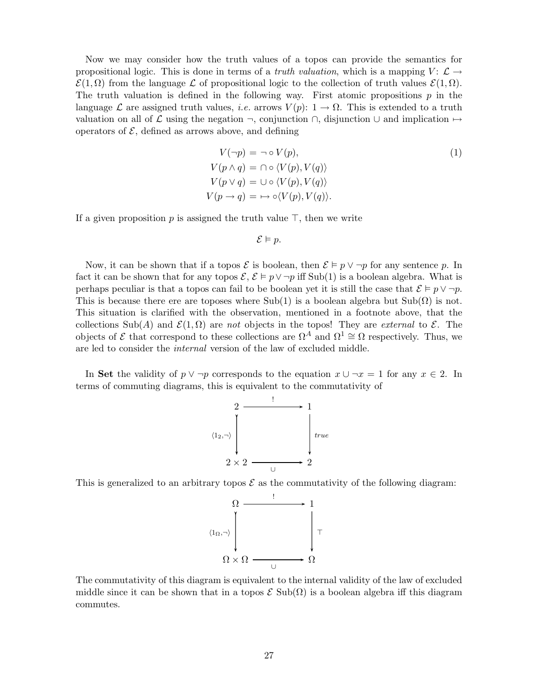Now we may consider how the truth values of a topos can provide the semantics for propositional logic. This is done in terms of a *truth valuation*, which is a mapping  $V: \mathcal{L} \rightarrow$  $\mathcal{E}(1,\Omega)$  from the language L of propositional logic to the collection of truth values  $\mathcal{E}(1,\Omega)$ . The truth valuation is defined in the following way. First atomic propositions  $p$  in the language L are assigned truth values, *i.e.* arrows  $V(p)$ :  $1 \rightarrow \Omega$ . This is extended to a truth valuation on all of  $\mathcal L$  using the negation  $\neg$ , conjunction  $\bigcap$ , disjunction  $\bigcup$  and implication  $\mapsto$ operators of  $\mathcal{E}$ , defined as arrows above, and defining

$$
V(\neg p) = \neg \circ V(p),
$$
  
\n
$$
V(p \land q) = \cap \circ \langle V(p), V(q) \rangle
$$
  
\n
$$
V(p \lor q) = \cup \circ \langle V(p), V(q) \rangle
$$
  
\n
$$
V(p \to q) = \mapsto \circ \langle V(p), V(q) \rangle.
$$
\n(1)

If a given proposition p is assigned the truth value  $\top$ , then we write

$$
\mathcal{E} \vDash p.
$$

Now, it can be shown that if a topos  $\mathcal{E}$  is boolean, then  $\mathcal{E} \models p \vee \neg p$  for any sentence p. In fact it can be shown that for any topos  $\mathcal{E}, \mathcal{E} \models p \vee \neg p$  iff Sub(1) is a boolean algebra. What is perhaps peculiar is that a topos can fail to be boolean yet it is still the case that  $\mathcal{E} \models p \vee \neg p$ . This is because there ere are toposes where Sub(1) is a boolean algebra but Sub( $\Omega$ ) is not. This situation is clarified with the observation, mentioned in a footnote above, that the collections Sub(A) and  $\mathcal{E}(1,\Omega)$  are not objects in the topos! They are external to  $\mathcal{E}$ . The objects of  $\mathcal E$  that correspond to these collections are  $\Omega^A$  and  $\Omega^1 \cong \Omega$  respectively. Thus, we are led to consider the internal version of the law of excluded middle.

In Set the validity of  $p \vee \neg p$  corresponds to the equation  $x \cup \neg x = 1$  for any  $x \in 2$ . In terms of commuting diagrams, this is equivalent to the commutativity of



This is generalized to an arbitrary topos  $\mathcal E$  as the commutativity of the following diagram:



The commutativity of this diagram is equivalent to the internal validity of the law of excluded middle since it can be shown that in a topos  $\mathcal E$  Sub( $\Omega$ ) is a boolean algebra iff this diagram commutes.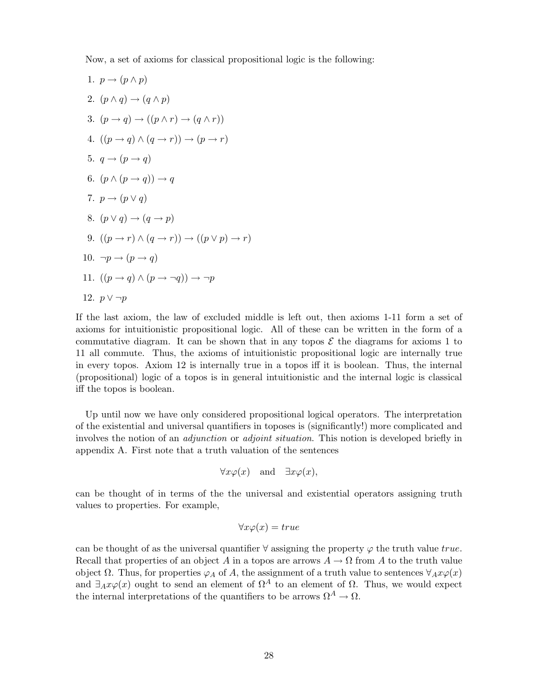Now, a set of axioms for classical propositional logic is the following:

1. 
$$
p \rightarrow (p \land p)
$$
  
\n2.  $(p \land q) \rightarrow (q \land p)$   
\n3.  $(p \rightarrow q) \rightarrow ((p \land r) \rightarrow (q \land r))$   
\n4.  $((p \rightarrow q) \land (q \rightarrow r)) \rightarrow (p \rightarrow r)$   
\n5.  $q \rightarrow (p \rightarrow q)$   
\n6.  $(p \land (p \rightarrow q)) \rightarrow q$   
\n7.  $p \rightarrow (p \lor q)$   
\n8.  $(p \lor q) \rightarrow (q \rightarrow p)$   
\n9.  $((p \rightarrow r) \land (q \rightarrow r)) \rightarrow ((p \lor p) \rightarrow r)$   
\n10.  $\neg p \rightarrow (p \rightarrow q)$   
\n11.  $((p \rightarrow q) \land (p \rightarrow \neg q)) \rightarrow \neg p$   
\n12.  $p \lor \neg p$ 

If the last axiom, the law of excluded middle is left out, then axioms 1-11 form a set of axioms for intuitionistic propositional logic. All of these can be written in the form of a commutative diagram. It can be shown that in any topos  $\mathcal E$  the diagrams for axioms 1 to 11 all commute. Thus, the axioms of intuitionistic propositional logic are internally true in every topos. Axiom 12 is internally true in a topos iff it is boolean. Thus, the internal (propositional) logic of a topos is in general intuitionistic and the internal logic is classical iff the topos is boolean.

Up until now we have only considered propositional logical operators. The interpretation of the existential and universal quantifiers in toposes is (significantly!) more complicated and involves the notion of an *adjunction* or *adjoint situation*. This notion is developed briefly in appendix A. First note that a truth valuation of the sentences

$$
\forall x \varphi(x) \quad \text{and} \quad \exists x \varphi(x),
$$

can be thought of in terms of the the universal and existential operators assigning truth values to properties. For example,

$$
\forall x \varphi(x) = true
$$

can be thought of as the universal quantifier  $\forall$  assigning the property  $\varphi$  the truth value true. Recall that properties of an object A in a topos are arrows  $A \to \Omega$  from A to the truth value object  $\Omega$ . Thus, for properties  $\varphi_A$  of A, the assignment of a truth value to sentences  $\forall_A x \varphi(x)$ and  $\exists_A x \varphi(x)$  ought to send an element of  $\Omega^A$  to an element of  $\Omega$ . Thus, we would expect the internal interpretations of the quantifiers to be arrows  $\Omega^A \to \Omega$ .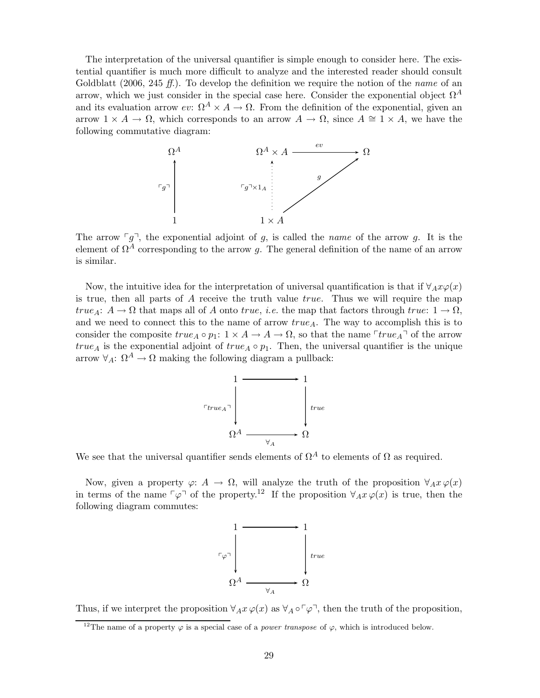The interpretation of the universal quantifier is simple enough to consider here. The existential quantifier is much more difficult to analyze and the interested reader should consult Goldblatt (2006, 245 ff.). To develop the definition we require the notion of the name of an arrow, which we just consider in the special case here. Consider the exponential object  $\Omega^A$ and its evaluation arrow ev:  $\Omega^A \times A \to \Omega$ . From the definition of the exponential, given an arrow  $1 \times A \to \Omega$ , which corresponds to an arrow  $A \to \Omega$ , since  $A \cong 1 \times A$ , we have the following commutative diagram:



The arrow  $\lceil g \rceil$ , the exponential adjoint of g, is called the *name* of the arrow g. It is the element of  $\Omega^{\tilde{A}}$  corresponding to the arrow g. The general definition of the name of an arrow is similar.

Now, the intuitive idea for the interpretation of universal quantification is that if  $\forall_{A} x \varphi(x)$ is true, then all parts of  $A$  receive the truth value true. Thus we will require the map true<sub>A</sub>:  $A \to \Omega$  that maps all of A onto true, *i.e.* the map that factors through true:  $1 \to \Omega$ , and we need to connect this to the name of arrow  $true_A$ . The way to accomplish this is to consider the composite  $true_A \circ p_1: 1 \times A \to A \to \Omega$ , so that the name  $True_A \circ f$  of the arrow true<sub>A</sub> is the exponential adjoint of true<sub>A</sub>  $\circ$   $p_1$ . Then, the universal quantifier is the unique arrow  $\forall_A: \Omega^A \to \Omega$  making the following diagram a pullback:



We see that the universal quantifier sends elements of  $\Omega^A$  to elements of  $\Omega$  as required.

Now, given a property  $\varphi: A \to \Omega$ , will analyze the truth of the proposition  $\forall_A x \varphi(x)$ in terms of the name  $\lceil \varphi \rceil$  of the property.<sup>12</sup> If the proposition  $\forall_A x \varphi(x)$  is true, then the following diagram commutes:



Thus, if we interpret the proposition  $\forall_A x \varphi(x)$  as  $\forall_A \circ \neg \varphi$ , then the truth of the proposition,

<sup>&</sup>lt;sup>12</sup>The name of a property  $\varphi$  is a special case of a *power transpose* of  $\varphi$ , which is introduced below.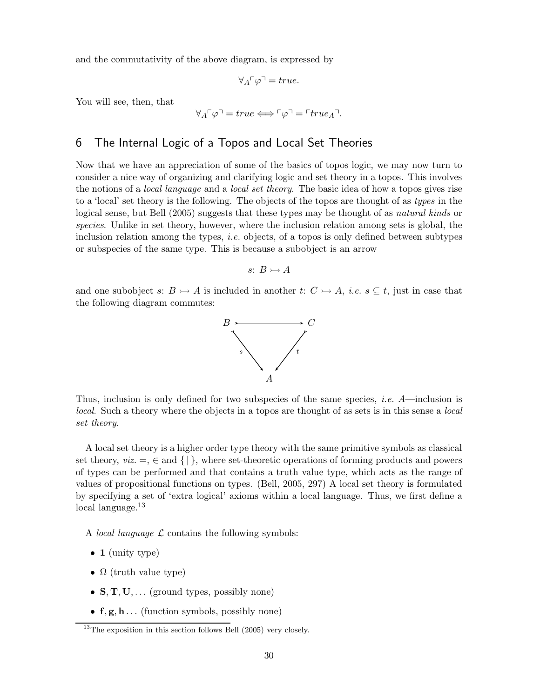and the commutativity of the above diagram, is expressed by

$$
\forall_{A}\ulcorner\varphi\urcorner=true.
$$

You will see, then, that

$$
\forall_{A}\ulcorner\varphi\urcorner = true \Longleftrightarrow \ulcorner\varphi\urcorner = \ulcorner true_{A}\urcorner.
$$

## 6 The Internal Logic of a Topos and Local Set Theories

Now that we have an appreciation of some of the basics of topos logic, we may now turn to consider a nice way of organizing and clarifying logic and set theory in a topos. This involves the notions of a *local language* and a *local set theory*. The basic idea of how a topos gives rise to a 'local' set theory is the following. The objects of the topos are thought of as types in the logical sense, but Bell (2005) suggests that these types may be thought of as *natural kinds* or species. Unlike in set theory, however, where the inclusion relation among sets is global, the inclusion relation among the types, i.e. objects, of a topos is only defined between subtypes or subspecies of the same type. This is because a subobject is an arrow

$$
s\colon B\rightarrowtail A
$$

and one subobject s:  $B \rightarrow A$  is included in another t:  $C \rightarrow A$ , *i.e.*  $s \subseteq t$ , just in case that the following diagram commutes:



Thus, inclusion is only defined for two subspecies of the same species, *i.e.*  $A$ —inclusion is local. Such a theory where the objects in a topos are thought of as sets is in this sense a local set theory.

A local set theory is a higher order type theory with the same primitive symbols as classical set theory,  $viz = \in \text{and } \{ | \}$ , where set-theoretic operations of forming products and powers of types can be performed and that contains a truth value type, which acts as the range of values of propositional functions on types. (Bell, 2005, 297) A local set theory is formulated by specifying a set of 'extra logical' axioms within a local language. Thus, we first define a local language.<sup>13</sup>

A *local language*  $\mathcal L$  contains the following symbols:

- $\bullet$  1 (unity type)
- $\Omega$  (truth value type)
- $S, T, U, \ldots$  (ground types, possibly none)
- $f, g, h \dots$  (function symbols, possibly none)

 $13$ The exposition in this section follows Bell (2005) very closely.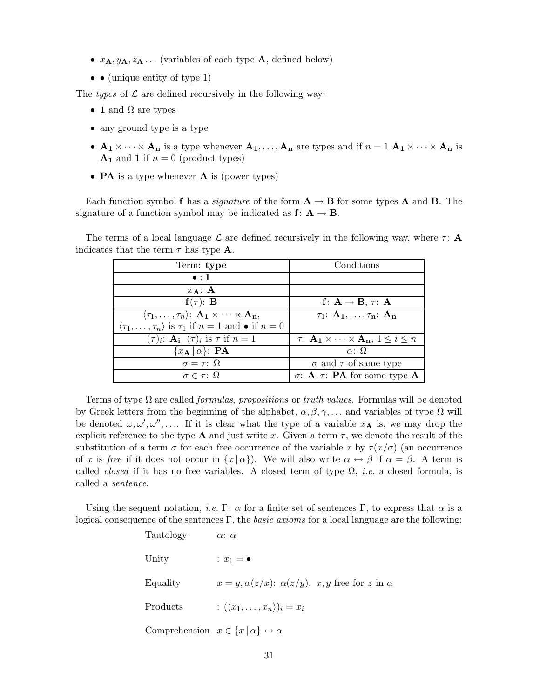- $x_{\mathbf{A}}, y_{\mathbf{A}}, z_{\mathbf{A}} \dots$  (variables of each type **A**, defined below)
- $\bullet$   $\bullet$  (unique entity of type 1)

The types of  $\mathcal L$  are defined recursively in the following way:

- 1 and  $\Omega$  are types
- any ground type is a type
- $A_1 \times \cdots \times A_n$  is a type whenever  $A_1, \ldots, A_n$  are types and if  $n = 1$   $A_1 \times \cdots \times A_n$  is  $A_1$  and 1 if  $n = 0$  (product types)
- **PA** is a type whenever **A** is (power types)

Each function symbol f has a *signature* of the form  $A \rightarrow B$  for some types A and B. The signature of a function symbol may be indicated as  $f: A \rightarrow B$ .

The terms of a local language  $\mathcal L$  are defined recursively in the following way, where  $\tau$ : A indicates that the term  $\tau$  has type **A**.

| Term: type                                                                              | Conditions                                                              |
|-----------------------------------------------------------------------------------------|-------------------------------------------------------------------------|
| $\bullet$ :1                                                                            |                                                                         |
| $x_{\mathbf{A}}$ : A                                                                    |                                                                         |
| $f(\tau)$ : B                                                                           | f: $A \rightarrow B$ , $\tau$ : A                                       |
| $\langle \tau_1,\ldots,\tau_n \rangle: \mathbf{A_1} \times \cdots \times \mathbf{A_n},$ | $\tau_1$ : $\mathbf{A}_1, \ldots, \tau_n$ : $\mathbf{A}_n$              |
| $\langle \tau_1,\ldots,\tau_n\rangle$ is $\tau_1$ if $n=1$ and $\bullet$ if $n=0$       |                                                                         |
| $(\tau)_i$ : $\mathbf{A}_i$ , $(\tau)_i$ is $\tau$ if $n=1$                             | $\tau: \mathbf{A_1} \times \cdots \times \mathbf{A_n}, 1 \leq i \leq n$ |
| $\{x_{\mathbf{A}}   \alpha\}$ : PA                                                      | $\alpha$ : $\Omega$                                                     |
| $\sigma = \tau: \Omega$                                                                 | $\sigma$ and $\tau$ of same type                                        |
| $\sigma \in \tau: \Omega$                                                               | $\sigma$ : <b>A</b> , $\tau$ : <b>PA</b> for some type <b>A</b>         |

Terms of type  $\Omega$  are called *formulas, propositions* or *truth values*. Formulas will be denoted by Greek letters from the beginning of the alphabet,  $\alpha, \beta, \gamma, \ldots$  and variables of type  $\Omega$  will be denoted  $\omega, \omega', \omega'', \ldots$  If it is clear what the type of a variable  $x_A$  is, we may drop the explicit reference to the type **A** and just write x. Given a term  $\tau$ , we denote the result of the substitution of a term  $\sigma$  for each free occurrence of the variable x by  $\tau(x/\sigma)$  (an occurrence of x is free if it does not occur in  $\{x | \alpha\}$ . We will also write  $\alpha \leftrightarrow \beta$  if  $\alpha = \beta$ . A term is called *closed* if it has no free variables. A closed term of type  $\Omega$ , *i.e.* a closed formula, is called a sentence.

Using the sequent notation, *i.e.* Γ:  $\alpha$  for a finite set of sentences Γ, to express that  $\alpha$  is a logical consequence of the sentences Γ, the *basic axioms* for a local language are the following:

> Tautology  $\alpha$ :  $\alpha$ Unity :  $x_1 = \bullet$ Equality  $x = y, \alpha(z/x)$ :  $\alpha(z/y), x, y$  free for z in  $\alpha$ Products :  $(\langle x_1, \ldots, x_n \rangle)_i = x_i$ Comprehension  $x \in \{x \mid \alpha\} \leftrightarrow \alpha$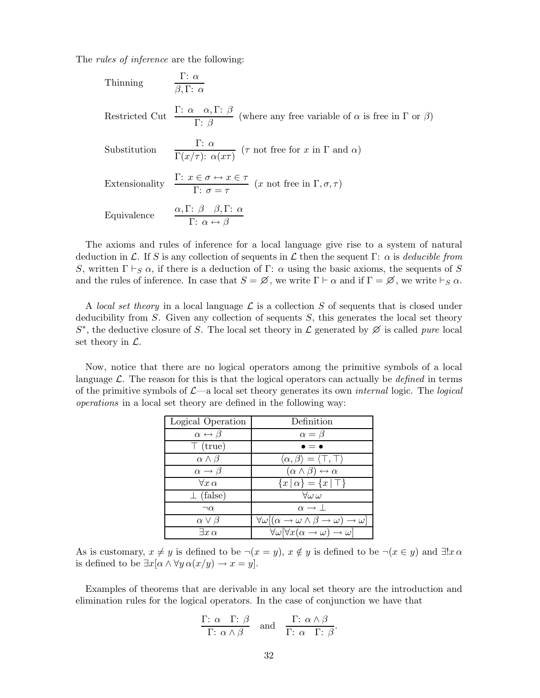The *rules of inference* are the following:

Thinking  
\n
$$
\frac{\Gamma: \alpha}{\beta, \Gamma: \alpha}
$$
\nRestricted Cut 
$$
\frac{\Gamma: \alpha \alpha, \Gamma: \beta}{\Gamma: \beta}
$$
 (where any free variable of  $\alpha$  is free in  $\Gamma$  or  $\beta$ )\nSubstitution  
\n
$$
\frac{\Gamma: \alpha}{\Gamma(x/\tau): \alpha(x\tau)} \quad (\tau \text{ not free for } x \text{ in } \Gamma \text{ and } \alpha)
$$
\nExtensionality  
\n
$$
\frac{\Gamma: x \in \sigma \leftrightarrow x \in \tau}{\Gamma: \sigma = \tau} \quad (x \text{ not free in } \Gamma, \sigma, \tau)
$$
\nEquivalence  
\n
$$
\frac{\alpha, \Gamma: \beta \quad \beta, \Gamma: \alpha}{\Gamma: \alpha \leftrightarrow \beta}
$$

The axioms and rules of inference for a local language give rise to a system of natural deduction in L. If S is any collection of sequents in L then the sequent  $\Gamma: \alpha$  is deducible from S, written  $\Gamma \vdash_S \alpha$ , if there is a deduction of  $\Gamma: \alpha$  using the basic axioms, the sequents of S and the rules of inference. In case that  $S = \emptyset$ , we write  $\Gamma \vdash \alpha$  and if  $\Gamma = \emptyset$ , we write  $\vdash_S \alpha$ .

A local set theory in a local language  $\mathcal L$  is a collection S of sequents that is closed under deducibility from S. Given any collection of sequents  $S$ , this generates the local set theory  $S^*$ , the deductive closure of S. The local set theory in  $\mathcal L$  generated by  $\emptyset$  is called *pure* local set theory in  $\mathcal{L}$ .

Now, notice that there are no logical operators among the primitive symbols of a local language  $\mathcal{L}$ . The reason for this is that the logical operators can actually be *defined* in terms of the primitive symbols of  $\mathcal{L}$ —a local set theory generates its own *internal* logic. The *logical* operations in a local set theory are defined in the following way:

| Logical Operation              | Definition                                                                  |
|--------------------------------|-----------------------------------------------------------------------------|
| $\alpha \leftrightarrow \beta$ | $\alpha = \beta$                                                            |
| $\top$ (true)                  | $\cdot = \bullet$                                                           |
| $\alpha \wedge \beta$          | $\langle \alpha, \beta \rangle = \langle \top, \top \rangle$                |
| $\alpha \rightarrow \beta$     | $(\alpha \wedge \beta) \leftrightarrow \alpha$                              |
| $\forall x \alpha$             | ${x \mid \alpha} = {x \mid \top}$                                           |
| $\perp$ (false)                | $\forall \omega \, \omega$                                                  |
| $\neg \alpha$                  | $\alpha \rightarrow \perp$                                                  |
| $\alpha \vee \beta$            | $\forall \omega [(\alpha \to \omega \wedge \beta \to \omega) \to \omega]$   |
| $\exists x \alpha$             | $\forall \omega [\forall x (\alpha \rightarrow \omega) \rightarrow \omega]$ |

As is customary,  $x \neq y$  is defined to be  $\neg(x = y)$ ,  $x \notin y$  is defined to be  $\neg(x \in y)$  and  $\exists ! x \alpha$ is defined to be  $\exists x[\alpha \wedge \forall y \alpha(x/y) \rightarrow x = y]$ .

Examples of theorems that are derivable in any local set theory are the introduction and elimination rules for the logical operators. In the case of conjunction we have that

$$
\frac{\Gamma: \alpha \quad \Gamma: \beta}{\Gamma: \alpha \land \beta} \quad \text{and} \quad \frac{\Gamma: \alpha \land \beta}{\Gamma: \alpha \quad \Gamma: \beta}.
$$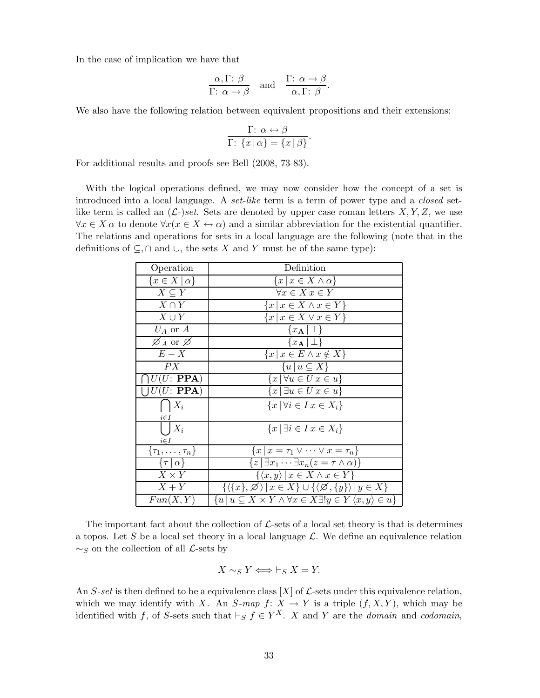In the case of implication we have that

$$
\frac{\alpha, \Gamma: \beta}{\Gamma: \alpha \to \beta} \quad \text{and} \quad \frac{\Gamma: \alpha \to \beta}{\alpha, \Gamma: \beta}.
$$

We also have the following relation between equivalent propositions and their extensions:

$$
\frac{\Gamma: \ \alpha \leftrightarrow \beta}{\Gamma: \ \{x \mid \alpha\} = \{x \mid \beta\}}.
$$

For additional results and proofs see Bell (2008, 73-83).

With the logical operations defined, we may now consider how the concept of a set is introduced into a local language. A set-like term is a term of power type and a closed setlike term is called an  $(\mathcal{L})$  set. Sets are denoted by upper case roman letters  $X, Y, Z$ , we use  $\forall x \in X \alpha$  to denote  $\forall x (x \in X \leftrightarrow \alpha)$  and a similar abbreviation for the existential quantifier. The relations and operations for sets in a local language are the following (note that in the definitions of  $\subseteq$ ,  $\cap$  and  $\cup$ , the sets X and Y must be of the same type):

| Operation                        | Definition                                                                                                          |
|----------------------------------|---------------------------------------------------------------------------------------------------------------------|
| $\{x \in X \mid \alpha\}$        | $\{x \mid x \in X \wedge \alpha\}$                                                                                  |
| $X \subset Y$                    | $\forall x \in X \ x \in Y$                                                                                         |
| $X \cap Y$                       | ${x \mid x \in X \land x \in Y}$                                                                                    |
| $X \cup Y$                       | $\{x \mid x \in X \lor x \in Y\}$                                                                                   |
| $U_A$ or $A$                     | ${x_{\bf A}   \top}$                                                                                                |
| $\varnothing_A$ or $\varnothing$ | $\{x_{\mathbf{A}}   \perp\}$                                                                                        |
| $E-X$                            | $\{x \mid x \in E \land x \notin X\}$                                                                               |
| PX                               | $\{u \mid u \subseteq X\}$                                                                                          |
| U(U:PPA)                         | $\{x \mid \forall u \in U \: x \in u\}$                                                                             |
| $U(U: \textbf{PPA})$             | ${x \mid \exists u \in U \ x \in u}$                                                                                |
| $X_i$                            | ${x \, \forall i \in I \, x \in X_i}$                                                                               |
| $i \in I$                        |                                                                                                                     |
| $X_i$                            | ${x \mid \exists i \in I \ x \in X_i}$                                                                              |
| $i \in I$                        |                                                                                                                     |
| $\{\tau_1,\ldots,\tau_n\}$       | $\{x \mid x = \tau_1 \vee \cdots \vee x = \tau_n\}$                                                                 |
| $\{\tau   \alpha\}$              | $\overline{\{z \mid \exists x_1 \cdots \exists x_n (z = \tau \wedge \alpha)\}}$                                     |
| $X \times Y$                     | $\{\langle x,y\rangle \, \, x\in X \wedge x\in Y\}$                                                                 |
| $X+Y$                            | $\{\langle \{x\},\varnothing \rangle \,   \, x \in X\} \cup \{\langle \varnothing, \{y\} \rangle \,   \, y \in X\}$ |
| Fun(X,Y)                         | ${u \mid u \subseteq X \times Y \wedge \forall x \in X \exists ! y \in Y \langle x, y \rangle \in u}$               |

The important fact about the collection of  $\mathcal{L}$ -sets of a local set theory is that is determines a topos. Let S be a local set theory in a local language  $\mathcal{L}$ . We define an equivalence relation  $\sim_S$  on the collection of all  $\mathcal{L}$ -sets by

$$
X \sim_S Y \iff \vdash_S X = Y.
$$

An S-set is then defined to be a equivalence class  $[X]$  of  $\mathcal{L}$ -sets under this equivalence relation, which we may identify with X. An S-map  $f: X \to Y$  is a triple  $(f, X, Y)$ , which may be identified with f, of S-sets such that  $\vdash_S f \in Y^X$ . X and Y are the *domain* and *codomain*,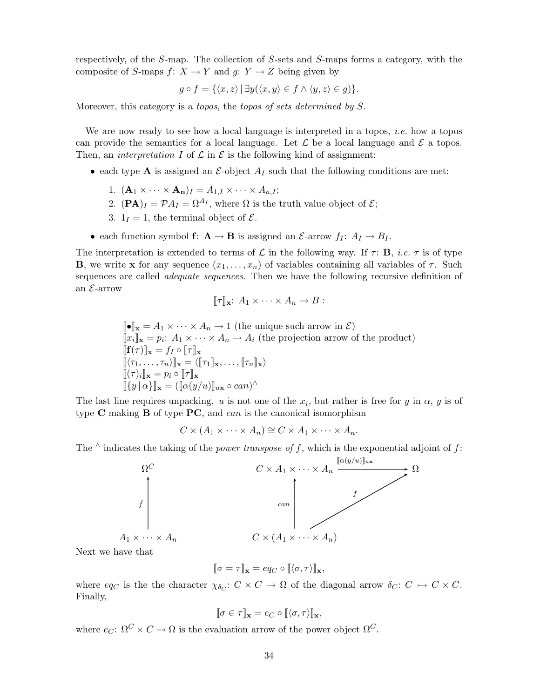respectively, of the S-map. The collection of S-sets and S-maps forms a category, with the composite of S-maps  $f: X \to Y$  and  $g: Y \to Z$  being given by

$$
g \circ f = \{ \langle x, z \rangle \mid \exists y (\langle x, y \rangle \in f \land \langle y, z \rangle \in g) \}.
$$

Moreover, this category is a topos, the topos of sets determined by S.

We are now ready to see how a local language is interpreted in a topos, *i.e.* how a topos can provide the semantics for a local language. Let  $\mathcal L$  be a local language and  $\mathcal E$  a topos. Then, an *interpretation* I of  $\mathcal L$  in  $\mathcal E$  is the following kind of assignment:

- each type **A** is assigned an  $\mathcal{E}\text{-object } A_I$  such that the following conditions are met:
	- 1.  $(\mathbf{A}_1 \times \cdots \times \mathbf{A}_n)_I = A_{1,I} \times \cdots \times A_{n,I};$
	- 2.  $(\mathbf{PA})_I = \mathcal{P} A_I = \Omega^{A_I}$ , where  $\Omega$  is the truth value object of  $\mathcal{E};$
	- 3.  $1<sub>I</sub> = 1$ , the terminal object of  $\mathcal{E}$ .
- each function symbol  $f: A \rightarrow B$  is assigned an  $\mathcal{E}\text{-arrow}$   $f_I: A_I \rightarrow B_I$ .

The interpretation is extended to terms of  $\mathcal L$  in the following way. If  $\tau: \mathbf B$ , i.e.  $\tau$  is of type **B**, we write **x** for any sequence  $(x_1, \ldots, x_n)$  of variables containing all variables of  $\tau$ . Such sequences are called *adequate sequences*. Then we have the following recursive definition of an  $\mathcal{E}\text{-arrow}$ 

$$
[\![\tau]\!]_{\mathbf{x}}\colon A_1\times\cdots\times A_n\to B:
$$

 $\llbracket \bullet \rrbracket_{\mathbf{x}} = A_1 \times \cdots \times A_n \to 1$  (the unique such arrow in  $\mathcal{E}$ )  $[\![x_i]\!]_{\mathbf{x}} = p_i: A_1 \times \cdots \times A_n \to A_i$  (the projection arrow of the product)  $[\![\mathbf{f}(\tau)]\!]_{\mathbf{x}}=f_I\circ[\![\tau]\!]_{\mathbf{x}}$  $[\![\langle \tau_1,\ldots,\tau_n\rangle]\!]_{\mathbf{x}} = \langle [\![\tau_1]\!]_{\mathbf{x}},\ldots,[\![\tau_n]\!]_{\mathbf{x}}\rangle$  $[\![ (\tau)_i ]\!]_{\mathbf{x}} = p_i \circ [\![\tau]\!]_{\mathbf{x}}$  $[\![\{y \, \vert \, \alpha\}]_{\mathbf{x}} = (\llbracket \alpha(y/u) \rrbracket_{u\mathbf{x}} \circ can)^\wedge$ 

The last line requires unpacking. u is not one of the  $x_i$ , but rather is free for y in  $\alpha$ , y is of type  $C$  making  $B$  of type  $PC$ , and can is the canonical isomorphism

$$
C \times (A_1 \times \cdots \times A_n) \cong C \times A_1 \times \cdots \times A_n.
$$

The  $\wedge$  indicates the taking of the *power transpose of f*, which is the exponential adjoint of f:



Next we have that

$$
[\![\sigma=\tau]\!]_{\mathbf{x}}=eq_{C}\circ[\![\langle\sigma,\tau\rangle]\!]_{\mathbf{x}},
$$

where  $eq_C$  is the the character  $\chi_{\delta_C}: C \times C \to \Omega$  of the diagonal arrow  $\delta_C: C \to C \times C$ . Finally,

$$
[\![\sigma\in\tau]\!]_{\mathbf{x}}=e_C\circ[\![\langle\sigma,\tau\rangle]\!]_{\mathbf{x}},
$$

where  $e_C: \Omega^C \times C \to \Omega$  is the evaluation arrow of the power object  $\Omega^C$ .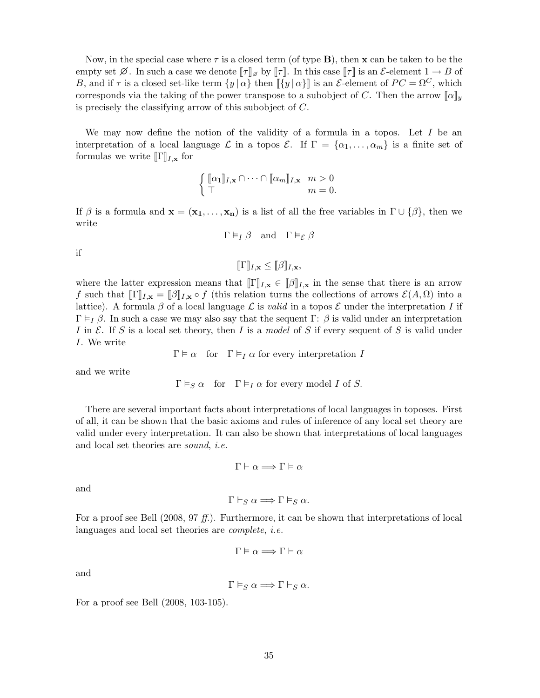Now, in the special case where  $\tau$  is a closed term (of type **B**), then **x** can be taken to be the empty set  $\emptyset$ . In such a case we denote  $\llbracket \tau \rrbracket_{\emptyset}$  by  $\llbracket \tau \rrbracket$ . In this case  $\llbracket \tau \rrbracket$  is an  $\mathcal{E}\text{-element } 1 \to B$  of B, and if  $\tau$  is a closed set-like term  $\{y | \alpha\}$  then  $\langle \{y | \alpha\} \rangle$  is an E-element of  $PC = \Omega^C$ , which corresponds via the taking of the power transpose to a subobject of C. Then the arrow  $\llbracket \alpha \rrbracket_y$ is precisely the classifying arrow of this subobject of C.

We may now define the notion of the validity of a formula in a topos. Let  $I$  be an interpretation of a local language  $\mathcal L$  in a topos  $\mathcal E$ . If  $\Gamma = {\alpha_1, \ldots, \alpha_m}$  is a finite set of formulas we write  $\llbracket \Gamma \rrbracket_{I,\mathbf{x}}$  for

$$
\begin{cases} [\![\alpha_1]\!]_{I,\mathbf{x}} \cap \cdots \cap [\![\alpha_m]\!]_{I,\mathbf{x}} & m > 0\\ \top & m = 0. \end{cases}
$$

If  $\beta$  is a formula and  $\mathbf{x} = (\mathbf{x_1}, \dots, \mathbf{x_n})$  is a list of all the free variables in  $\Gamma \cup {\beta}$ , then we write

$$
\Gamma \vDash_I \beta \quad \text{and} \quad \Gamma \vDash_{\mathcal{E}} \beta
$$

if

 $\llbracket \Gamma \rrbracket_{I,\mathbf{x}} \leq \llbracket \beta \rrbracket_{I,\mathbf{x}},$ 

where the latter expression means that  $[\![\Gamma]\!]_{I,\mathbf{x}} \in [\![\beta]\!]_{I,\mathbf{x}}$  in the sense that there is an arrow f such that  $[\![\Gamma]\!]_{I,\mathbf{x}} = [\![\beta]\!]_{I,\mathbf{x}} \circ f$  (this relation turns the collections of arrows  $\mathcal{E}(A,\Omega)$  into a lattice). A formula  $\beta$  of a local language  $\mathcal L$  is valid in a topos  $\mathcal E$  under the interpretation I if  $\Gamma \models_I \beta$ . In such a case we may also say that the sequent  $\Gamma: \beta$  is valid under an interpretation I in E. If S is a local set theory, then I is a model of S if every sequent of S is valid under I. We write

 $\Gamma \models \alpha$  for  $\Gamma \models_I \alpha$  for every interpretation I

and we write

$$
\Gamma \vDash_S \alpha \quad \text{for} \quad \Gamma \vDash_I \alpha \text{ for every model } I \text{ of } S.
$$

There are several important facts about interpretations of local languages in toposes. First of all, it can be shown that the basic axioms and rules of inference of any local set theory are valid under every interpretation. It can also be shown that interpretations of local languages and local set theories are sound, i.e.

$$
\Gamma \vdash \alpha \Longrightarrow \Gamma \vDash \alpha
$$

and

$$
\Gamma \vdash_S \alpha \Longrightarrow \Gamma \vDash_S \alpha.
$$

For a proof see Bell  $(2008, 97 \text{ ff})$ . Furthermore, it can be shown that interpretations of local languages and local set theories are complete, i.e.

$$
\Gamma \vDash \alpha \Longrightarrow \Gamma \vdash \alpha
$$

and

 $\Gamma \models_S \alpha \Longrightarrow \Gamma \vdash_S \alpha$ .

For a proof see Bell (2008, 103-105).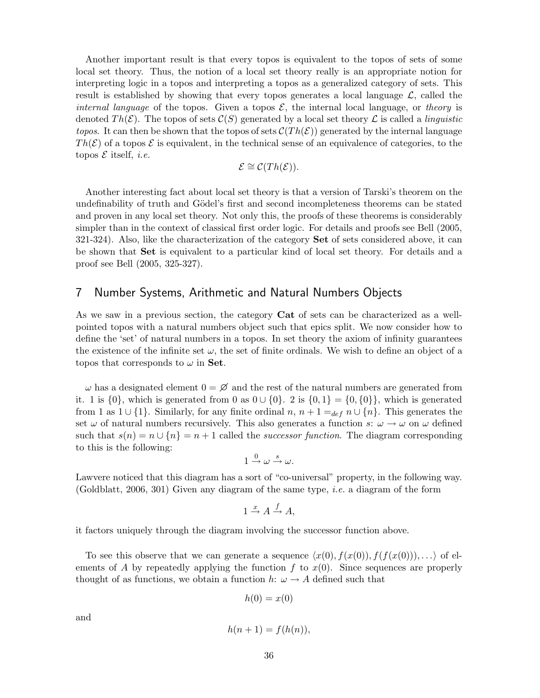Another important result is that every topos is equivalent to the topos of sets of some local set theory. Thus, the notion of a local set theory really is an appropriate notion for interpreting logic in a topos and interpreting a topos as a generalized category of sets. This result is established by showing that every topos generates a local language  $\mathcal{L}$ , called the internal language of the topos. Given a topos  $\mathcal{E}$ , the internal local language, or theory is denoted  $Th(\mathcal{E})$ . The topos of sets  $\mathcal{C}(S)$  generated by a local set theory  $\mathcal{L}$  is called a *linguistic topos.* It can then be shown that the topos of sets  $\mathcal{C}(Th(\mathcal{E}))$  generated by the internal language  $Th(\mathcal{E})$  of a topos  $\mathcal E$  is equivalent, in the technical sense of an equivalence of categories, to the topos  $\mathcal E$  itself, *i.e.* 

$$
\mathcal{E} \cong \mathcal{C}(Th(\mathcal{E})).
$$

Another interesting fact about local set theory is that a version of Tarski's theorem on the undefinability of truth and Gödel's first and second incompleteness theorems can be stated and proven in any local set theory. Not only this, the proofs of these theorems is considerably simpler than in the context of classical first order logic. For details and proofs see Bell (2005, 321-324). Also, like the characterization of the category Set of sets considered above, it can be shown that Set is equivalent to a particular kind of local set theory. For details and a proof see Bell (2005, 325-327).

#### 7 Number Systems, Arithmetic and Natural Numbers Objects

As we saw in a previous section, the category Cat of sets can be characterized as a wellpointed topos with a natural numbers object such that epics split. We now consider how to define the 'set' of natural numbers in a topos. In set theory the axiom of infinity guarantees the existence of the infinite set  $\omega$ , the set of finite ordinals. We wish to define an object of a topos that corresponds to  $\omega$  in Set.

 $\omega$  has a designated element  $0 = \emptyset$  and the rest of the natural numbers are generated from it. 1 is  $\{0\}$ , which is generated from 0 as  $0 \cup \{0\}$ . 2 is  $\{0,1\} = \{0,\{0\}\}$ , which is generated from 1 as  $1 \cup \{1\}$ . Similarly, for any finite ordinal  $n, n+1 =_{def} n \cup \{n\}$ . This generates the set  $\omega$  of natural numbers recursively. This also generates a function s:  $\omega \to \omega$  on  $\omega$  defined such that  $s(n) = n \cup \{n\} = n + 1$  called the successor function. The diagram corresponding to this is the following:

$$
1 \xrightarrow{0} \omega \xrightarrow{s} \omega.
$$

Lawvere noticed that this diagram has a sort of "co-universal" property, in the following way. (Goldblatt, 2006, 301) Given any diagram of the same type, *i.e.* a diagram of the form

$$
1 \xrightarrow{x} A \xrightarrow{f} A,
$$

it factors uniquely through the diagram involving the successor function above.

To see this observe that we can generate a sequence  $\langle x(0),f(x(0)),f(f(x(0))),\ldots\rangle$  of elements of A by repeatedly applying the function  $f$  to  $x(0)$ . Since sequences are properly thought of as functions, we obtain a function h:  $\omega \rightarrow A$  defined such that

$$
h(0) = x(0)
$$

and

$$
h(n+1) = f(h(n)),
$$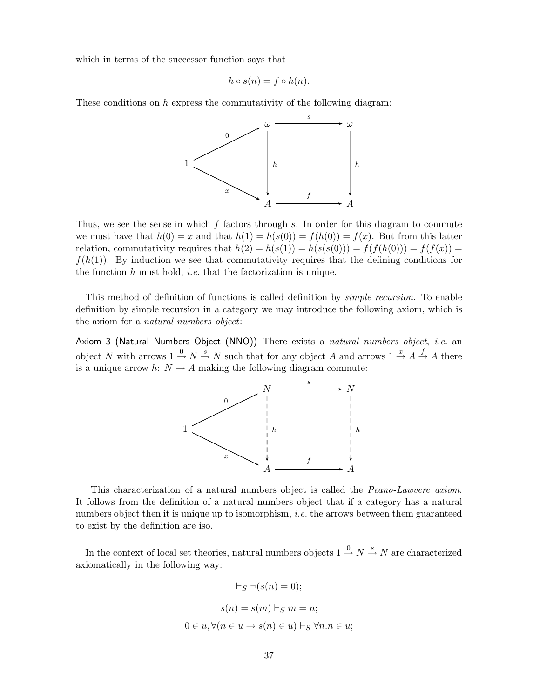which in terms of the successor function says that

$$
h \circ s(n) = f \circ h(n).
$$

These conditions on  $h$  express the commutativity of the following diagram:



Thus, we see the sense in which  $f$  factors through  $s$ . In order for this diagram to commute we must have that  $h(0) = x$  and that  $h(1) = h(s(0)) = f(h(0)) = f(x)$ . But from this latter relation, commutativity requires that  $h(2) = h(s(1)) = h(s(s(0))) = f(f(h(0))) = f(f(x)) =$  $f(h(1))$ . By induction we see that commutativity requires that the defining conditions for the function  $h$  must hold, *i.e.* that the factorization is unique.

This method of definition of functions is called definition by simple recursion. To enable definition by simple recursion in a category we may introduce the following axiom, which is the axiom for a natural numbers object:

Axiom 3 (Natural Numbers Object (NNO)) There exists a natural numbers object, i.e. an object N with arrows  $1 \stackrel{0}{\rightarrow} N \stackrel{s}{\rightarrow} N$  such that for any object A and arrows  $1 \stackrel{x}{\rightarrow} A \stackrel{f}{\rightarrow} A$  there is a unique arrow h:  $N \rightarrow A$  making the following diagram commute:



This characterization of a natural numbers object is called the Peano-Lawvere axiom. It follows from the definition of a natural numbers object that if a category has a natural numbers object then it is unique up to isomorphism, *i.e.* the arrows between them guaranteed to exist by the definition are iso.

In the context of local set theories, natural numbers objects  $1 \stackrel{0}{\rightarrow} N \stackrel{s}{\rightarrow} N$  are characterized axiomatically in the following way:

$$
\vdash_S \neg(s(n) = 0);
$$
  

$$
s(n) = s(m) \vdash_S m = n;
$$
  

$$
0 \in u, \forall (n \in u \to s(n) \in u) \vdash_S \forall n.n \in u;
$$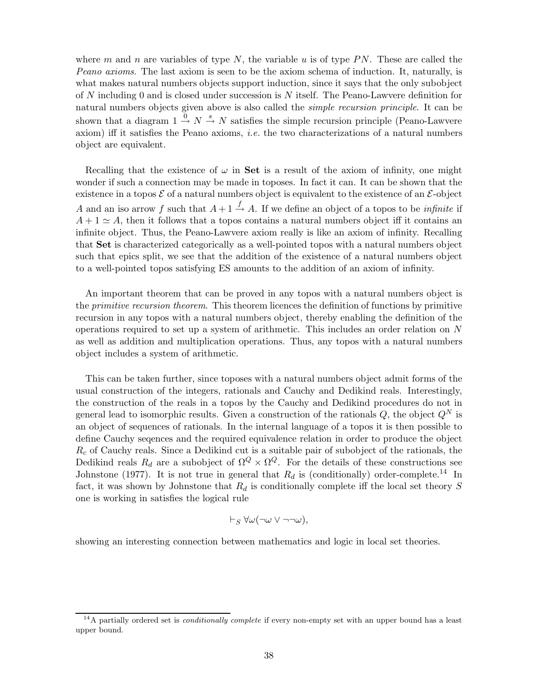where m and n are variables of type N, the variable u is of type  $PN$ . These are called the Peano axioms. The last axiom is seen to be the axiom schema of induction. It, naturally, is what makes natural numbers objects support induction, since it says that the only subobject of N including 0 and is closed under succession is N itself. The Peano-Lawvere definition for natural numbers objects given above is also called the simple recursion principle. It can be shown that a diagram  $1 \stackrel{0}{\rightarrow} N \stackrel{s}{\rightarrow} N$  satisfies the simple recursion principle (Peano-Lawvere axiom) iff it satisfies the Peano axioms, i.e. the two characterizations of a natural numbers object are equivalent.

Recalling that the existence of  $\omega$  in Set is a result of the axiom of infinity, one might wonder if such a connection may be made in toposes. In fact it can. It can be shown that the existence in a topos  $\mathcal E$  of a natural numbers object is equivalent to the existence of an  $\mathcal E$ -object A and an iso arrow f such that  $A + 1 \stackrel{f}{\rightarrow} A$ . If we define an object of a topos to be *infinite* if  $A + 1 \simeq A$ , then it follows that a topos contains a natural numbers object iff it contains an infinite object. Thus, the Peano-Lawvere axiom really is like an axiom of infinity. Recalling that Set is characterized categorically as a well-pointed topos with a natural numbers object such that epics split, we see that the addition of the existence of a natural numbers object to a well-pointed topos satisfying ES amounts to the addition of an axiom of infinity.

An important theorem that can be proved in any topos with a natural numbers object is the *primitive recursion theorem*. This theorem licences the definition of functions by primitive recursion in any topos with a natural numbers object, thereby enabling the definition of the operations required to set up a system of arithmetic. This includes an order relation on N as well as addition and multiplication operations. Thus, any topos with a natural numbers object includes a system of arithmetic.

This can be taken further, since toposes with a natural numbers object admit forms of the usual construction of the integers, rationals and Cauchy and Dedikind reals. Interestingly, the construction of the reals in a topos by the Cauchy and Dedikind procedures do not in general lead to isomorphic results. Given a construction of the rationals  $Q$ , the object  $Q^N$  is an object of sequences of rationals. In the internal language of a topos it is then possible to define Cauchy seqences and the required equivalence relation in order to produce the object  $R_c$  of Cauchy reals. Since a Dedikind cut is a suitable pair of subobject of the rationals, the Dedikind reals  $R_d$  are a subobject of  $\Omega^Q \times \Omega^Q$ . For the details of these constructions see Johnstone (1977). It is not true in general that  $R_d$  is (conditionally) order-complete.<sup>14</sup> In fact, it was shown by Johnstone that  $R_d$  is conditionally complete iff the local set theory S one is working in satisfies the logical rule

$$
\vdash_S \forall \omega (\neg \omega \vee \neg \neg \omega),
$$

showing an interesting connection between mathematics and logic in local set theories.

 $14A$  partially ordered set is *conditionally complete* if every non-empty set with an upper bound has a least upper bound.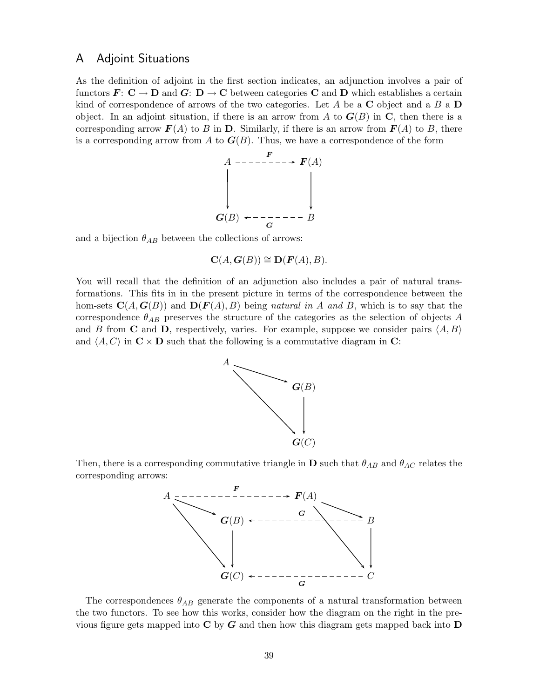### A Adjoint Situations

As the definition of adjoint in the first section indicates, an adjunction involves a pair of functors  $\mathbf{F}: \mathbf{C} \to \mathbf{D}$  and  $\mathbf{G}: \mathbf{D} \to \mathbf{C}$  between categories **C** and **D** which establishes a certain kind of correspondence of arrows of the two categories. Let A be a  $\bf{C}$  object and a B a  $\bf{D}$ object. In an adjoint situation, if there is an arrow from A to  $G(B)$  in C, then there is a corresponding arrow  $\mathbf{F}(A)$  to B in D. Similarly, if there is an arrow from  $\mathbf{F}(A)$  to B, there is a corresponding arrow from A to  $G(B)$ . Thus, we have a correspondence of the form



and a bijection  $\theta_{AB}$  between the collections of arrows:

$$
\mathbf{C}(A,\mathbf{G}(B)) \cong \mathbf{D}(\mathbf{F}(A),B).
$$

You will recall that the definition of an adjunction also includes a pair of natural transformations. This fits in in the present picture in terms of the correspondence between the hom-sets  $\mathbf{C}(A, \mathbf{G}(B))$  and  $\mathbf{D}(\mathbf{F}(A), B)$  being natural in A and B, which is to say that the correspondence  $\theta_{AB}$  preserves the structure of the categories as the selection of objects A and B from C and D, respectively, varies. For example, suppose we consider pairs  $\langle A, B \rangle$ and  $\langle A, C \rangle$  in  $\mathbb{C} \times \mathbb{D}$  such that the following is a commutative diagram in  $\mathbb{C}$ :



Then, there is a corresponding commutative triangle in **D** such that  $\theta_{AB}$  and  $\theta_{AC}$  relates the corresponding arrows:



The correspondences  $\theta_{AB}$  generate the components of a natural transformation between the two functors. To see how this works, consider how the diagram on the right in the previous figure gets mapped into  $C$  by  $G$  and then how this diagram gets mapped back into  $D$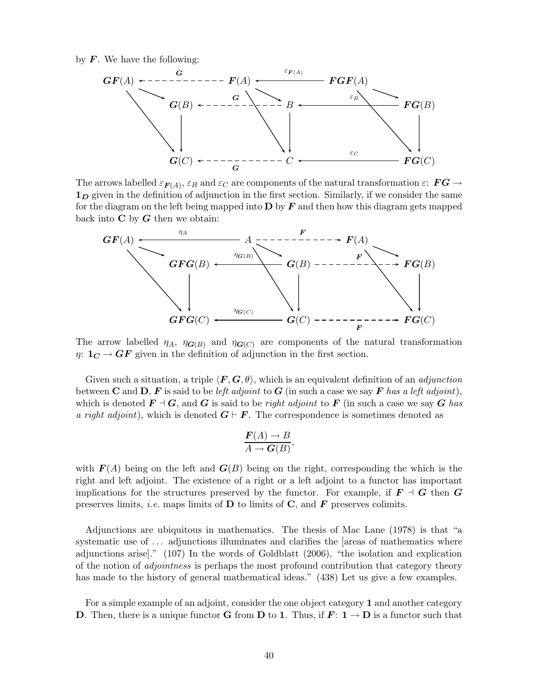by  $\boldsymbol{F}$ . We have the following:



The arrows labelled  $\varepsilon_{\bm{F}(A)}, \varepsilon_B$  and  $\varepsilon_C$  are components of the natural transformation  $\varepsilon: \bm{F}\bm{G} \rightarrow$  $1<sub>D</sub>$  given in the definition of adjunction in the first section. Similarly, if we consider the same for the diagram on the left being mapped into  $\bf{D}$  by  $\bf{F}$  and then how this diagram gets mapped back into  $C$  by  $G$  then we obtain:



The arrow labelled  $\eta_A$ ,  $\eta_{\mathbf{G}(B)}$  and  $\eta_{\mathbf{G}(C)}$  are components of the natural transformation  $\eta: \mathbf{1}_{\mathbf{C}} \to \mathbf{G}\mathbf{F}$  given in the definition of adjunction in the first section.

Given such a situation, a triple  $\langle \mathbf{F}, \mathbf{G}, \theta \rangle$ , which is an equivalent definition of an *adjunction* between **C** and **D**, **F** is said to be left adjoint to **G** (in such a case we say **F** has a left adjoint), which is denoted  $\mathbf{F} \dashv \mathbf{G}$ , and  $\mathbf{G}$  is said to be right adjoint to  $\mathbf{F}$  (in such a case we say  $\mathbf{G}$  has a right adjoint), which is denoted  $G \vdash F$ . The correspondence is sometimes denoted as

$$
\frac{\boldsymbol{F}(A) \to B}{A \to \boldsymbol{G}(B)},
$$

with  $\mathbf{F}(A)$  being on the left and  $\mathbf{G}(B)$  being on the right, corresponding the which is the right and left adjoint. The existence of a right or a left adjoint to a functor has important implications for the structures preserved by the functor. For example, if  $\mathbf{F} \dashv \mathbf{G}$  then  $\mathbf{G}$ preserves limits, *i.e.* maps limits of  $D$  to limits of  $C$ , and  $F$  preserves colimits.

Adjunctions are ubiquitous in mathematics. The thesis of Mac Lane (1978) is that "a systematic use of ... adjunctions illuminates and clarifies the [areas of mathematics where adjunctions arise]." (107) In the words of Goldblatt (2006), "the isolation and explication of the notion of adjointness is perhaps the most profound contribution that category theory has made to the history of general mathematical ideas." (438) Let us give a few examples.

For a simple example of an adjoint, consider the one object category 1 and another category **D**. Then, there is a unique functor **G** from **D** to 1. Thus, if  $\mathbf{F}: \mathbf{1} \to \mathbf{D}$  is a functor such that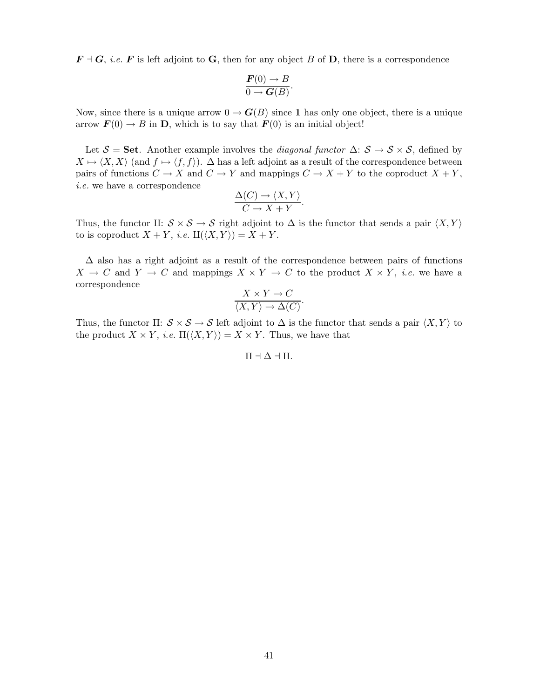$\mathbf{F} \dashv \mathbf{G}$ , i.e.  $\mathbf{F}$  is left adjoint to **G**, then for any object B of **D**, there is a correspondence

$$
\frac{\boldsymbol{F}(0) \to B}{0 \to \boldsymbol{G}(B)}.
$$

Now, since there is a unique arrow  $0 \to G(B)$  since 1 has only one object, there is a unique arrow  $\mathbf{F}(0) \to B$  in **D**, which is to say that  $\mathbf{F}(0)$  is an initial object!

Let  $S =$  Set. Another example involves the *diagonal functor*  $\Delta: S \to S \times S$ , defined by  $X \mapsto \langle X, X \rangle$  (and  $f \mapsto \langle f, f \rangle$ ).  $\Delta$  has a left adjoint as a result of the correspondence between pairs of functions  $C \to X$  and  $C \to Y$  and mappings  $C \to X + Y$  to the coproduct  $X + Y$ , i.e. we have a correspondence

$$
\frac{\Delta(C) \to \langle X, Y \rangle}{C \to X + Y}.
$$

Thus, the functor II:  $S \times S \rightarrow S$  right adjoint to  $\Delta$  is the functor that sends a pair  $\langle X, Y \rangle$ to is coproduct  $X + Y$ , *i.e.*  $\mathbb{L}(\langle X, Y \rangle) = X + Y$ .

 $\Delta$  also has a right adjoint as a result of the correspondence between pairs of functions  $X \to C$  and  $Y \to C$  and mappings  $X \times Y \to C$  to the product  $X \times Y$ , *i.e.* we have a correspondence

$$
\frac{X \times Y \to C}{\langle X, Y \rangle \to \Delta(C)}.
$$

Thus, the functor  $\Pi: \mathcal{S} \times \mathcal{S} \to \mathcal{S}$  left adjoint to  $\Delta$  is the functor that sends a pair  $\langle X, Y \rangle$  to the product  $X \times Y$ , *i.e.*  $\Pi(\langle X, Y \rangle) = X \times Y$ . Thus, we have that

 $\Pi \dashv \Delta \dashv \amalg$ .